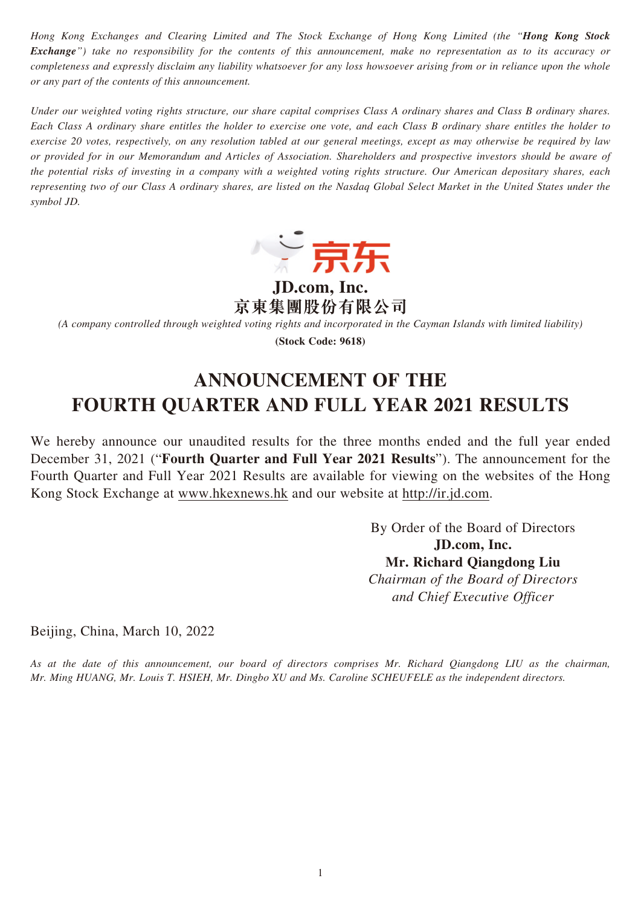*Hong Kong Exchanges and Clearing Limited and The Stock Exchange of Hong Kong Limited (the "Hong Kong Stock Exchange") take no responsibility for the contents of this announcement, make no representation as to its accuracy or completeness and expressly disclaim any liability whatsoever for any loss howsoever arising from or in reliance upon the whole or any part of the contents of this announcement.*

*Under our weighted voting rights structure, our share capital comprises Class A ordinary shares and Class B ordinary shares. Each Class A ordinary share entitles the holder to exercise one vote, and each Class B ordinary share entitles the holder to exercise 20 votes, respectively, on any resolution tabled at our general meetings, except as may otherwise be required by law or provided for in our Memorandum and Articles of Association. Shareholders and prospective investors should be aware of the potential risks of investing in a company with a weighted voting rights structure. Our American depositary shares, each representing two of our Class A ordinary shares, are listed on the Nasdaq Global Select Market in the United States under the symbol JD.*



**JD.com, Inc. 京東集團股份有限公司**

*(A company controlled through weighted voting rights and incorporated in the Cayman Islands with limited liability)*

**(Stock Code: 9618)**

# **ANNOUNCEMENT OF THE FOURTH QUARTER AND FULL YEAR 2021 RESULTS**

We hereby announce our unaudited results for the three months ended and the full year ended December 31, 2021 ("**Fourth Quarter and Full Year 2021 Results**"). The announcement for the Fourth Quarter and Full Year 2021 Results are available for viewing on the websites of the Hong Kong Stock Exchange at www.hkexnews.hk and our website at http://ir.jd.com.

> By Order of the Board of Directors **JD.com, Inc. Mr. Richard Qiangdong Liu** *Chairman of the Board of Directors and Chief Executive Officer*

Beijing, China, March 10, 2022

*As at the date of this announcement, our board of directors comprises Mr. Richard Qiangdong LIU as the chairman, Mr. Ming HUANG, Mr. Louis T. HSIEH, Mr. Dingbo XU and Ms. Caroline SCHEUFELE as the independent directors.*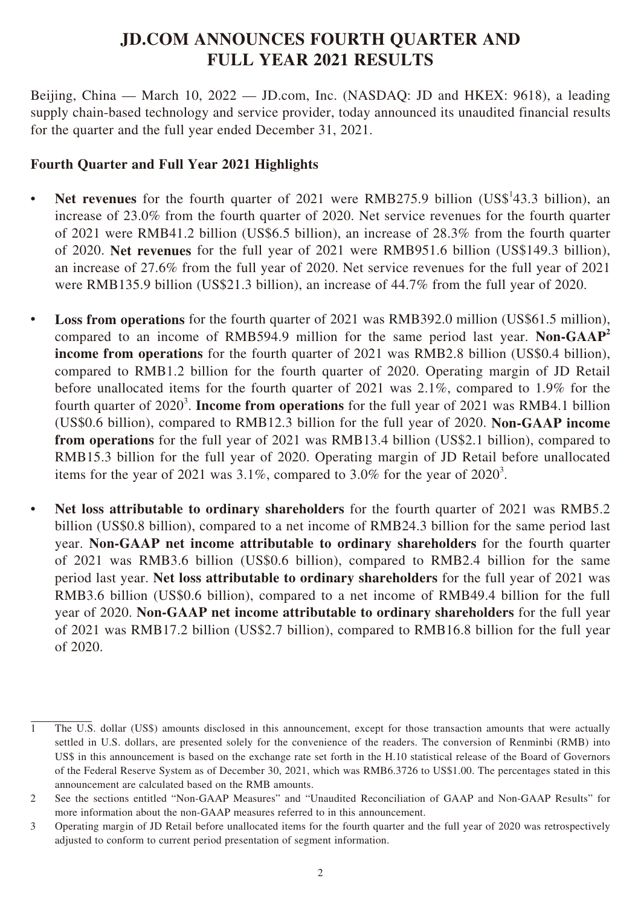# **JD.COM ANNOUNCES FOURTH QUARTER AND FULL YEAR 2021 RESULTS**

Beijing, China — March 10, 2022 — JD.com, Inc. (NASDAQ: JD and HKEX: 9618), a leading supply chain-based technology and service provider, today announced its unaudited financial results for the quarter and the full year ended December 31, 2021.

### **Fourth Quarter and Full Year 2021 Highlights**

- Net revenues for the fourth quarter of 2021 were RMB275.9 billion (US\$<sup>1</sup>43.3 billion), an increase of 23.0% from the fourth quarter of 2020. Net service revenues for the fourth quarter of 2021 were RMB41.2 billion (US\$6.5 billion), an increase of 28.3% from the fourth quarter of 2020. **Net revenues** for the full year of 2021 were RMB951.6 billion (US\$149.3 billion), an increase of 27.6% from the full year of 2020. Net service revenues for the full year of 2021 were RMB135.9 billion (US\$21.3 billion), an increase of 44.7% from the full year of 2020.
- Loss from operations for the fourth quarter of 2021 was RMB392.0 million (US\$61.5 million), compared to an income of RMB594.9 million for the same period last year. **Non-GAAP<sup>2</sup> income from operations** for the fourth quarter of 2021 was RMB2.8 billion (US\$0.4 billion), compared to RMB1.2 billion for the fourth quarter of 2020. Operating margin of JD Retail before unallocated items for the fourth quarter of 2021 was 2.1%, compared to 1.9% for the fourth quarter of 2020<sup>3</sup>. **Income from operations** for the full year of 2021 was RMB4.1 billion (US\$0.6 billion), compared to RMB12.3 billion for the full year of 2020. **Non-GAAP income from operations** for the full year of 2021 was RMB13.4 billion (US\$2.1 billion), compared to RMB15.3 billion for the full year of 2020. Operating margin of JD Retail before unallocated items for the year of 2021 was  $3.1\%$ , compared to  $3.0\%$  for the year of  $2020^3$ .
- **Net loss attributable to ordinary shareholders** for the fourth quarter of 2021 was RMB5.2 billion (US\$0.8 billion), compared to a net income of RMB24.3 billion for the same period last year. **Non-GAAP net income attributable to ordinary shareholders** for the fourth quarter of 2021 was RMB3.6 billion (US\$0.6 billion), compared to RMB2.4 billion for the same period last year. **Net loss attributable to ordinary shareholders** for the full year of 2021 was RMB3.6 billion (US\$0.6 billion), compared to a net income of RMB49.4 billion for the full year of 2020. **Non-GAAP net income attributable to ordinary shareholders** for the full year of 2021 was RMB17.2 billion (US\$2.7 billion), compared to RMB16.8 billion for the full year of 2020.

<sup>1</sup> The U.S. dollar (US\$) amounts disclosed in this announcement, except for those transaction amounts that were actually settled in U.S. dollars, are presented solely for the convenience of the readers. The conversion of Renminbi (RMB) into US\$ in this announcement is based on the exchange rate set forth in the H.10 statistical release of the Board of Governors of the Federal Reserve System as of December 30, 2021, which was RMB6.3726 to US\$1.00. The percentages stated in this announcement are calculated based on the RMB amounts.

<sup>2</sup> See the sections entitled "Non-GAAP Measures" and "Unaudited Reconciliation of GAAP and Non-GAAP Results" for more information about the non-GAAP measures referred to in this announcement.

<sup>3</sup> Operating margin of JD Retail before unallocated items for the fourth quarter and the full year of 2020 was retrospectively adjusted to conform to current period presentation of segment information.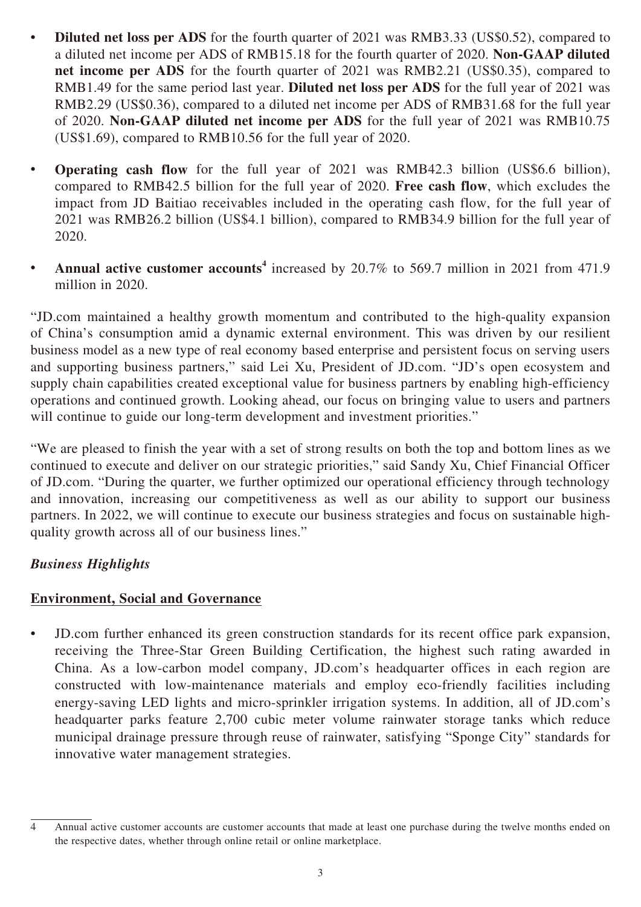- **Diluted net loss per ADS** for the fourth quarter of 2021 was RMB3.33 (US\$0.52), compared to a diluted net income per ADS of RMB15.18 for the fourth quarter of 2020. **Non-GAAP diluted net income per ADS** for the fourth quarter of 2021 was RMB2.21 (US\$0.35), compared to RMB1.49 for the same period last year. **Diluted net loss per ADS** for the full year of 2021 was RMB2.29 (US\$0.36), compared to a diluted net income per ADS of RMB31.68 for the full year of 2020. **Non-GAAP diluted net income per ADS** for the full year of 2021 was RMB10.75 (US\$1.69), compared to RMB10.56 for the full year of 2020.
- **Operating cash flow** for the full year of 2021 was RMB42.3 billion (US\$6.6 billion), compared to RMB42.5 billion for the full year of 2020. **Free cash flow**, which excludes the impact from JD Baitiao receivables included in the operating cash flow, for the full year of 2021 was RMB26.2 billion (US\$4.1 billion), compared to RMB34.9 billion for the full year of 2020.
- **Annual active customer accounts<sup>4</sup>** increased by 20.7% to 569.7 million in 2021 from 471.9 million in 2020.

"JD.com maintained a healthy growth momentum and contributed to the high-quality expansion of China's consumption amid a dynamic external environment. This was driven by our resilient business model as a new type of real economy based enterprise and persistent focus on serving users and supporting business partners," said Lei Xu, President of JD.com. "JD's open ecosystem and supply chain capabilities created exceptional value for business partners by enabling high-efficiency operations and continued growth. Looking ahead, our focus on bringing value to users and partners will continue to guide our long-term development and investment priorities."

"We are pleased to finish the year with a set of strong results on both the top and bottom lines as we continued to execute and deliver on our strategic priorities," said Sandy Xu, Chief Financial Officer of JD.com. "During the quarter, we further optimized our operational efficiency through technology and innovation, increasing our competitiveness as well as our ability to support our business partners. In 2022, we will continue to execute our business strategies and focus on sustainable highquality growth across all of our business lines."

### *Business Highlights*

### **Environment, Social and Governance**

• JD.com further enhanced its green construction standards for its recent office park expansion, receiving the Three-Star Green Building Certification, the highest such rating awarded in China. As a low-carbon model company, JD.com's headquarter offices in each region are constructed with low-maintenance materials and employ eco-friendly facilities including energy-saving LED lights and micro-sprinkler irrigation systems. In addition, all of JD.com's headquarter parks feature 2,700 cubic meter volume rainwater storage tanks which reduce municipal drainage pressure through reuse of rainwater, satisfying "Sponge City" standards for innovative water management strategies.

<sup>4</sup> Annual active customer accounts are customer accounts that made at least one purchase during the twelve months ended on the respective dates, whether through online retail or online marketplace.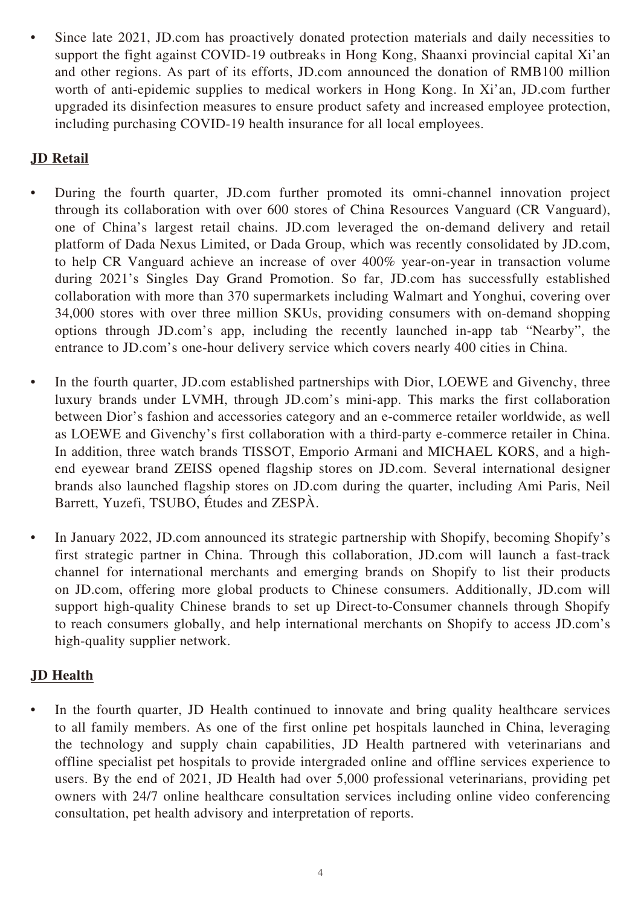Since late 2021, JD.com has proactively donated protection materials and daily necessities to support the fight against COVID-19 outbreaks in Hong Kong, Shaanxi provincial capital Xi'an and other regions. As part of its efforts, JD.com announced the donation of RMB100 million worth of anti-epidemic supplies to medical workers in Hong Kong. In Xi'an, JD.com further upgraded its disinfection measures to ensure product safety and increased employee protection, including purchasing COVID-19 health insurance for all local employees.

### **JD Retail**

- During the fourth quarter, JD.com further promoted its omni-channel innovation project through its collaboration with over 600 stores of China Resources Vanguard (CR Vanguard), one of China's largest retail chains. JD.com leveraged the on-demand delivery and retail platform of Dada Nexus Limited, or Dada Group, which was recently consolidated by JD.com, to help CR Vanguard achieve an increase of over 400% year-on-year in transaction volume during 2021's Singles Day Grand Promotion. So far, JD.com has successfully established collaboration with more than 370 supermarkets including Walmart and Yonghui, covering over 34,000 stores with over three million SKUs, providing consumers with on-demand shopping options through JD.com's app, including the recently launched in-app tab "Nearby", the entrance to JD.com's one-hour delivery service which covers nearly 400 cities in China.
- In the fourth quarter, JD.com established partnerships with Dior, LOEWE and Givenchy, three luxury brands under LVMH, through JD.com's mini-app. This marks the first collaboration between Dior's fashion and accessories category and an e-commerce retailer worldwide, as well as LOEWE and Givenchy's first collaboration with a third-party e-commerce retailer in China. In addition, three watch brands TISSOT, Emporio Armani and MICHAEL KORS, and a highend eyewear brand ZEISS opened flagship stores on JD.com. Several international designer brands also launched flagship stores on JD.com during the quarter, including Ami Paris, Neil Barrett, Yuzefi, TSUBO, Études and ZESPÀ.
- In January 2022, JD.com announced its strategic partnership with Shopify, becoming Shopify's first strategic partner in China. Through this collaboration, JD.com will launch a fast-track channel for international merchants and emerging brands on Shopify to list their products on JD.com, offering more global products to Chinese consumers. Additionally, JD.com will support high-quality Chinese brands to set up Direct-to-Consumer channels through Shopify to reach consumers globally, and help international merchants on Shopify to access JD.com's high-quality supplier network.

# **JD Health**

• In the fourth quarter, JD Health continued to innovate and bring quality healthcare services to all family members. As one of the first online pet hospitals launched in China, leveraging the technology and supply chain capabilities, JD Health partnered with veterinarians and offline specialist pet hospitals to provide intergraded online and offline services experience to users. By the end of 2021, JD Health had over 5,000 professional veterinarians, providing pet owners with 24/7 online healthcare consultation services including online video conferencing consultation, pet health advisory and interpretation of reports.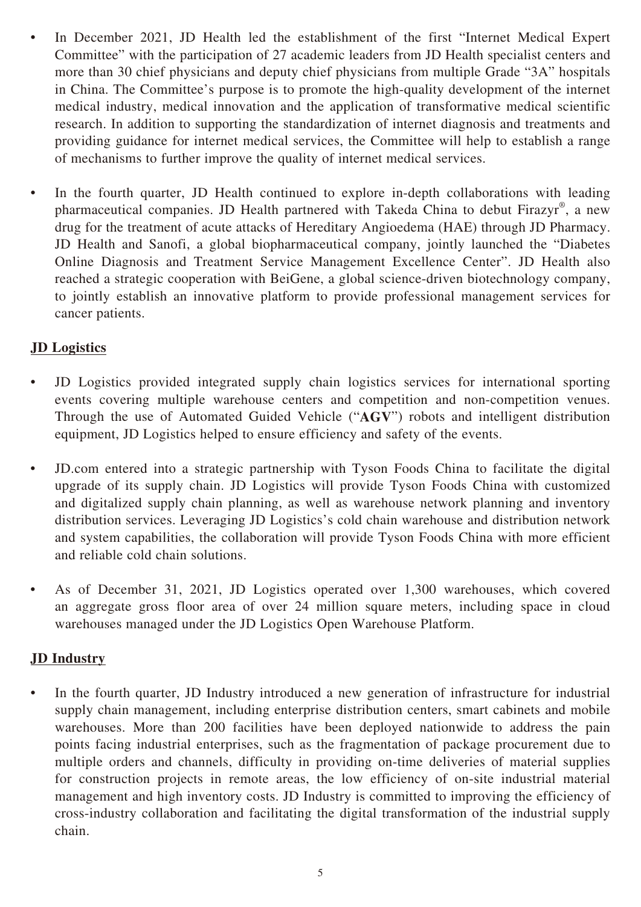- In December 2021, JD Health led the establishment of the first "Internet Medical Expert Committee" with the participation of 27 academic leaders from JD Health specialist centers and more than 30 chief physicians and deputy chief physicians from multiple Grade "3A" hospitals in China. The Committee's purpose is to promote the high-quality development of the internet medical industry, medical innovation and the application of transformative medical scientific research. In addition to supporting the standardization of internet diagnosis and treatments and providing guidance for internet medical services, the Committee will help to establish a range of mechanisms to further improve the quality of internet medical services.
- In the fourth quarter, JD Health continued to explore in-depth collaborations with leading pharmaceutical companies. JD Health partnered with Takeda China to debut Firazyr®, a new drug for the treatment of acute attacks of Hereditary Angioedema (HAE) through JD Pharmacy. JD Health and Sanofi, a global biopharmaceutical company, jointly launched the "Diabetes Online Diagnosis and Treatment Service Management Excellence Center". JD Health also reached a strategic cooperation with BeiGene, a global science-driven biotechnology company, to jointly establish an innovative platform to provide professional management services for cancer patients.

### **JD Logistics**

- JD Logistics provided integrated supply chain logistics services for international sporting events covering multiple warehouse centers and competition and non-competition venues. Through the use of Automated Guided Vehicle ("**AGV**") robots and intelligent distribution equipment, JD Logistics helped to ensure efficiency and safety of the events.
- JD.com entered into a strategic partnership with Tyson Foods China to facilitate the digital upgrade of its supply chain. JD Logistics will provide Tyson Foods China with customized and digitalized supply chain planning, as well as warehouse network planning and inventory distribution services. Leveraging JD Logistics's cold chain warehouse and distribution network and system capabilities, the collaboration will provide Tyson Foods China with more efficient and reliable cold chain solutions.
- As of December 31, 2021, JD Logistics operated over 1,300 warehouses, which covered an aggregate gross floor area of over 24 million square meters, including space in cloud warehouses managed under the JD Logistics Open Warehouse Platform.

### **JD Industry**

In the fourth quarter, JD Industry introduced a new generation of infrastructure for industrial supply chain management, including enterprise distribution centers, smart cabinets and mobile warehouses. More than 200 facilities have been deployed nationwide to address the pain points facing industrial enterprises, such as the fragmentation of package procurement due to multiple orders and channels, difficulty in providing on-time deliveries of material supplies for construction projects in remote areas, the low efficiency of on-site industrial material management and high inventory costs. JD Industry is committed to improving the efficiency of cross-industry collaboration and facilitating the digital transformation of the industrial supply chain.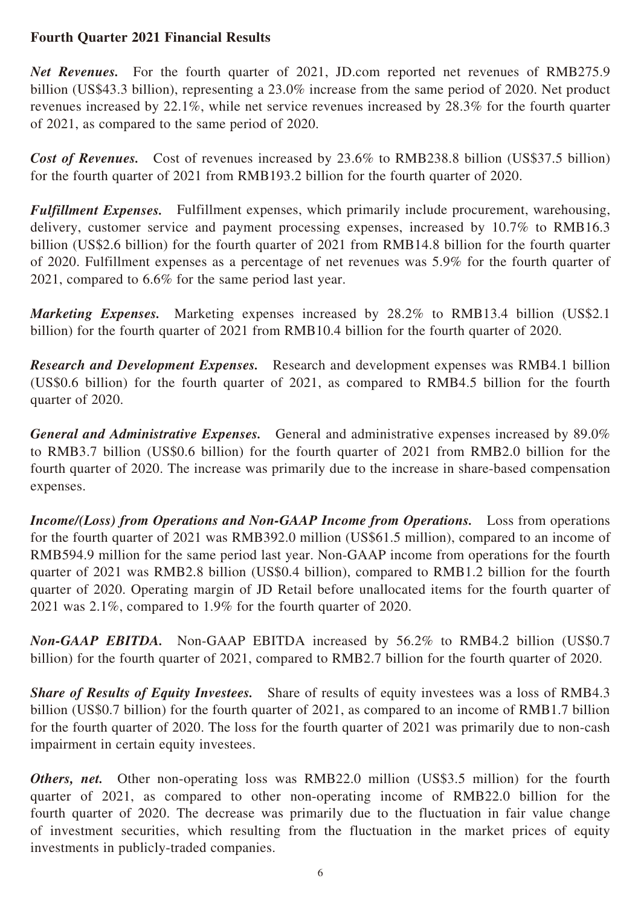### **Fourth Quarter 2021 Financial Results**

*Net Revenues.* For the fourth quarter of 2021, JD.com reported net revenues of RMB275.9 billion (US\$43.3 billion), representing a 23.0% increase from the same period of 2020. Net product revenues increased by 22.1%, while net service revenues increased by 28.3% for the fourth quarter of 2021, as compared to the same period of 2020.

*Cost of Revenues.* Cost of revenues increased by 23.6% to RMB238.8 billion (US\$37.5 billion) for the fourth quarter of 2021 from RMB193.2 billion for the fourth quarter of 2020.

*Fulfillment Expenses.* Fulfillment expenses, which primarily include procurement, warehousing, delivery, customer service and payment processing expenses, increased by 10.7% to RMB16.3 billion (US\$2.6 billion) for the fourth quarter of 2021 from RMB14.8 billion for the fourth quarter of 2020. Fulfillment expenses as a percentage of net revenues was 5.9% for the fourth quarter of 2021, compared to 6.6% for the same period last year.

*Marketing Expenses.* Marketing expenses increased by 28.2% to RMB13.4 billion (US\$2.1 billion) for the fourth quarter of 2021 from RMB10.4 billion for the fourth quarter of 2020.

*Research and Development Expenses.* Research and development expenses was RMB4.1 billion (US\$0.6 billion) for the fourth quarter of 2021, as compared to RMB4.5 billion for the fourth quarter of 2020.

*General and Administrative Expenses.* General and administrative expenses increased by 89.0% to RMB3.7 billion (US\$0.6 billion) for the fourth quarter of 2021 from RMB2.0 billion for the fourth quarter of 2020. The increase was primarily due to the increase in share-based compensation expenses.

*Income/(Loss) from Operations and Non-GAAP Income from Operations.* Loss from operations for the fourth quarter of 2021 was RMB392.0 million (US\$61.5 million), compared to an income of RMB594.9 million for the same period last year. Non-GAAP income from operations for the fourth quarter of 2021 was RMB2.8 billion (US\$0.4 billion), compared to RMB1.2 billion for the fourth quarter of 2020. Operating margin of JD Retail before unallocated items for the fourth quarter of 2021 was 2.1%, compared to 1.9% for the fourth quarter of 2020.

*Non-GAAP EBITDA.* Non-GAAP EBITDA increased by 56.2% to RMB4.2 billion (US\$0.7 billion) for the fourth quarter of 2021, compared to RMB2.7 billion for the fourth quarter of 2020.

*Share of Results of Equity Investees.* Share of results of equity investees was a loss of RMB4.3 billion (US\$0.7 billion) for the fourth quarter of 2021, as compared to an income of RMB1.7 billion for the fourth quarter of 2020. The loss for the fourth quarter of 2021 was primarily due to non-cash impairment in certain equity investees.

*Others, net.* Other non-operating loss was RMB22.0 million (US\$3.5 million) for the fourth quarter of 2021, as compared to other non-operating income of RMB22.0 billion for the fourth quarter of 2020. The decrease was primarily due to the fluctuation in fair value change of investment securities, which resulting from the fluctuation in the market prices of equity investments in publicly-traded companies.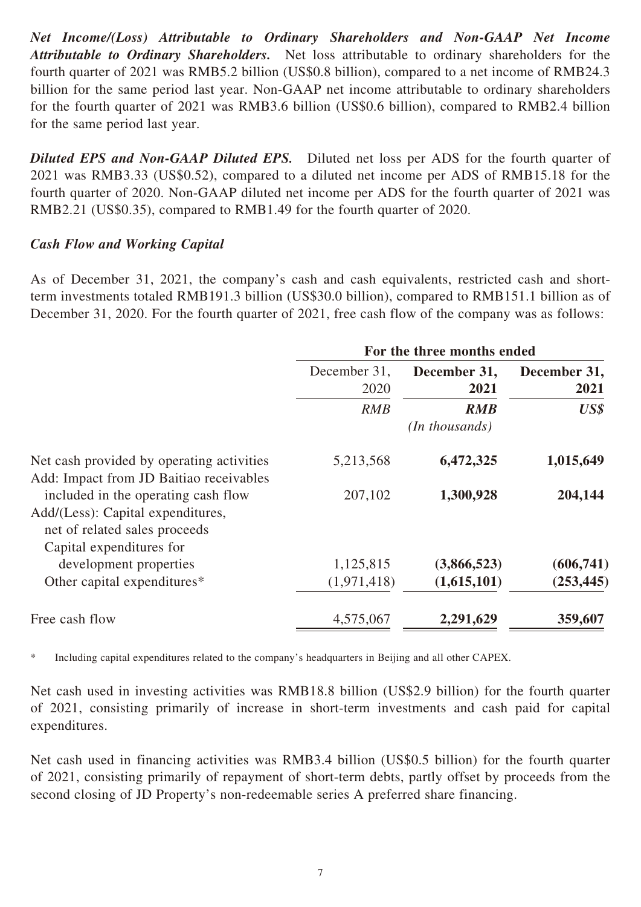*Net Income/(Loss) Attributable to Ordinary Shareholders and Non-GAAP Net Income Attributable to Ordinary Shareholders.* Net loss attributable to ordinary shareholders for the fourth quarter of 2021 was RMB5.2 billion (US\$0.8 billion), compared to a net income of RMB24.3 billion for the same period last year. Non-GAAP net income attributable to ordinary shareholders for the fourth quarter of 2021 was RMB3.6 billion (US\$0.6 billion), compared to RMB2.4 billion for the same period last year.

*Diluted EPS and Non-GAAP Diluted EPS.* Diluted net loss per ADS for the fourth quarter of 2021 was RMB3.33 (US\$0.52), compared to a diluted net income per ADS of RMB15.18 for the fourth quarter of 2020. Non-GAAP diluted net income per ADS for the fourth quarter of 2021 was RMB2.21 (US\$0.35), compared to RMB1.49 for the fourth quarter of 2020.

### *Cash Flow and Working Capital*

As of December 31, 2021, the company's cash and cash equivalents, restricted cash and shortterm investments totaled RMB191.3 billion (US\$30.0 billion), compared to RMB151.1 billion as of December 31, 2020. For the fourth quarter of 2021, free cash flow of the company was as follows:

|                                                                                                           | For the three months ended |                                |                      |  |  |  |
|-----------------------------------------------------------------------------------------------------------|----------------------------|--------------------------------|----------------------|--|--|--|
|                                                                                                           | December 31,<br>2020       | December 31,<br>2021           | December 31,<br>2021 |  |  |  |
|                                                                                                           | RMB                        | <b>RMB</b><br>$(In$ thousands) | US\$                 |  |  |  |
| Net cash provided by operating activities<br>Add: Impact from JD Baitiao receivables                      | 5,213,568                  | 6,472,325                      | 1,015,649            |  |  |  |
| included in the operating cash flow<br>Add/(Less): Capital expenditures,<br>net of related sales proceeds | 207,102                    | 1,300,928                      | 204,144              |  |  |  |
| Capital expenditures for<br>development properties                                                        | 1,125,815                  | (3,866,523)                    | (606,741)            |  |  |  |
| Other capital expenditures*                                                                               | (1,971,418)                | (1,615,101)                    | (253, 445)           |  |  |  |
| Free cash flow                                                                                            | 4,575,067                  | 2,291,629                      | 359,607              |  |  |  |

\* Including capital expenditures related to the company's headquarters in Beijing and all other CAPEX.

Net cash used in investing activities was RMB18.8 billion (US\$2.9 billion) for the fourth quarter of 2021, consisting primarily of increase in short-term investments and cash paid for capital expenditures.

Net cash used in financing activities was RMB3.4 billion (US\$0.5 billion) for the fourth quarter of 2021, consisting primarily of repayment of short-term debts, partly offset by proceeds from the second closing of JD Property's non-redeemable series A preferred share financing.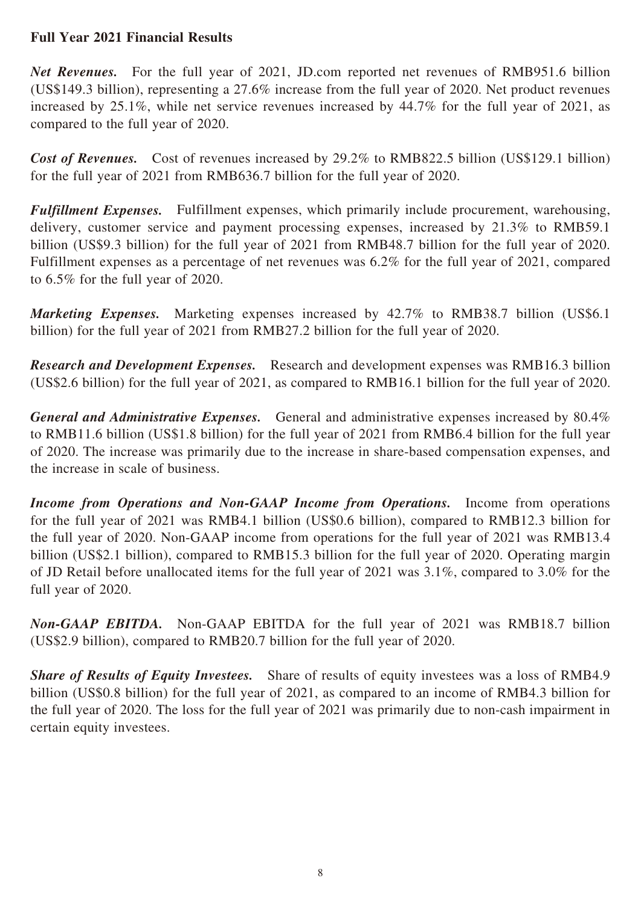### **Full Year 2021 Financial Results**

*Net Revenues.* For the full year of 2021, JD.com reported net revenues of RMB951.6 billion (US\$149.3 billion), representing a 27.6% increase from the full year of 2020. Net product revenues increased by 25.1%, while net service revenues increased by 44.7% for the full year of 2021, as compared to the full year of 2020.

*Cost of Revenues.* Cost of revenues increased by 29.2% to RMB822.5 billion (US\$129.1 billion) for the full year of 2021 from RMB636.7 billion for the full year of 2020.

*Fulfillment Expenses.* Fulfillment expenses, which primarily include procurement, warehousing, delivery, customer service and payment processing expenses, increased by 21.3% to RMB59.1 billion (US\$9.3 billion) for the full year of 2021 from RMB48.7 billion for the full year of 2020. Fulfillment expenses as a percentage of net revenues was 6.2% for the full year of 2021, compared to 6.5% for the full year of 2020.

*Marketing Expenses.* Marketing expenses increased by 42.7% to RMB38.7 billion (US\$6.1 billion) for the full year of 2021 from RMB27.2 billion for the full year of 2020.

*Research and Development Expenses.* Research and development expenses was RMB16.3 billion (US\$2.6 billion) for the full year of 2021, as compared to RMB16.1 billion for the full year of 2020.

*General and Administrative Expenses.* General and administrative expenses increased by 80.4% to RMB11.6 billion (US\$1.8 billion) for the full year of 2021 from RMB6.4 billion for the full year of 2020. The increase was primarily due to the increase in share-based compensation expenses, and the increase in scale of business.

*Income from Operations and Non-GAAP Income from Operations.* Income from operations for the full year of 2021 was RMB4.1 billion (US\$0.6 billion), compared to RMB12.3 billion for the full year of 2020. Non-GAAP income from operations for the full year of 2021 was RMB13.4 billion (US\$2.1 billion), compared to RMB15.3 billion for the full year of 2020. Operating margin of JD Retail before unallocated items for the full year of 2021 was 3.1%, compared to 3.0% for the full year of 2020.

*Non-GAAP EBITDA.* Non-GAAP EBITDA for the full year of 2021 was RMB18.7 billion (US\$2.9 billion), compared to RMB20.7 billion for the full year of 2020.

*Share of Results of Equity Investees.* Share of results of equity investees was a loss of RMB4.9 billion (US\$0.8 billion) for the full year of 2021, as compared to an income of RMB4.3 billion for the full year of 2020. The loss for the full year of 2021 was primarily due to non-cash impairment in certain equity investees.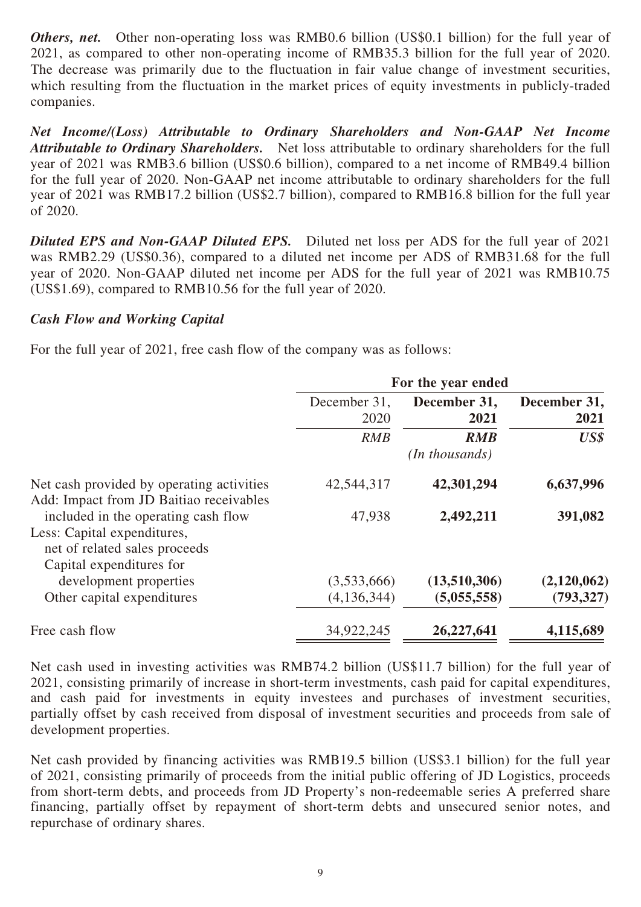*Others, net.* Other non-operating loss was RMB0.6 billion (US\$0.1 billion) for the full year of 2021, as compared to other non-operating income of RMB35.3 billion for the full year of 2020. The decrease was primarily due to the fluctuation in fair value change of investment securities, which resulting from the fluctuation in the market prices of equity investments in publicly-traded companies.

*Net Income/(Loss) Attributable to Ordinary Shareholders and Non-GAAP Net Income Attributable to Ordinary Shareholders.* Net loss attributable to ordinary shareholders for the full year of 2021 was RMB3.6 billion (US\$0.6 billion), compared to a net income of RMB49.4 billion for the full year of 2020. Non-GAAP net income attributable to ordinary shareholders for the full year of 2021 was RMB17.2 billion (US\$2.7 billion), compared to RMB16.8 billion for the full year of 2020.

*Diluted EPS and Non-GAAP Diluted EPS.* Diluted net loss per ADS for the full year of 2021 was RMB2.29 (US\$0.36), compared to a diluted net income per ADS of RMB31.68 for the full year of 2020. Non-GAAP diluted net income per ADS for the full year of 2021 was RMB10.75 (US\$1.69), compared to RMB10.56 for the full year of 2020.

#### *Cash Flow and Working Capital*

For the full year of 2021, free cash flow of the company was as follows:

|                                                                                                                                 | For the year ended           |                              |                           |  |  |
|---------------------------------------------------------------------------------------------------------------------------------|------------------------------|------------------------------|---------------------------|--|--|
|                                                                                                                                 | December 31,<br>2020         | December 31,<br>2021         | December 31,<br>2021      |  |  |
|                                                                                                                                 | RMB                          | <b>RMB</b><br>(In thousands) | US\$                      |  |  |
| Net cash provided by operating activities<br>Add: Impact from JD Baitiao receivables                                            | 42,544,317                   | 42,301,294                   | 6,637,996                 |  |  |
| included in the operating cash flow<br>Less: Capital expenditures,<br>net of related sales proceeds<br>Capital expenditures for | 47,938                       | 2,492,211                    | 391,082                   |  |  |
| development properties<br>Other capital expenditures                                                                            | (3,533,666)<br>(4, 136, 344) | (13,510,306)<br>(5,055,558)  | (2,120,062)<br>(793, 327) |  |  |
| Free cash flow                                                                                                                  | 34,922,245                   | 26,227,641                   | 4,115,689                 |  |  |

Net cash used in investing activities was RMB74.2 billion (US\$11.7 billion) for the full year of 2021, consisting primarily of increase in short-term investments, cash paid for capital expenditures, and cash paid for investments in equity investees and purchases of investment securities, partially offset by cash received from disposal of investment securities and proceeds from sale of development properties.

Net cash provided by financing activities was RMB19.5 billion (US\$3.1 billion) for the full year of 2021, consisting primarily of proceeds from the initial public offering of JD Logistics, proceeds from short-term debts, and proceeds from JD Property's non-redeemable series A preferred share financing, partially offset by repayment of short-term debts and unsecured senior notes, and repurchase of ordinary shares.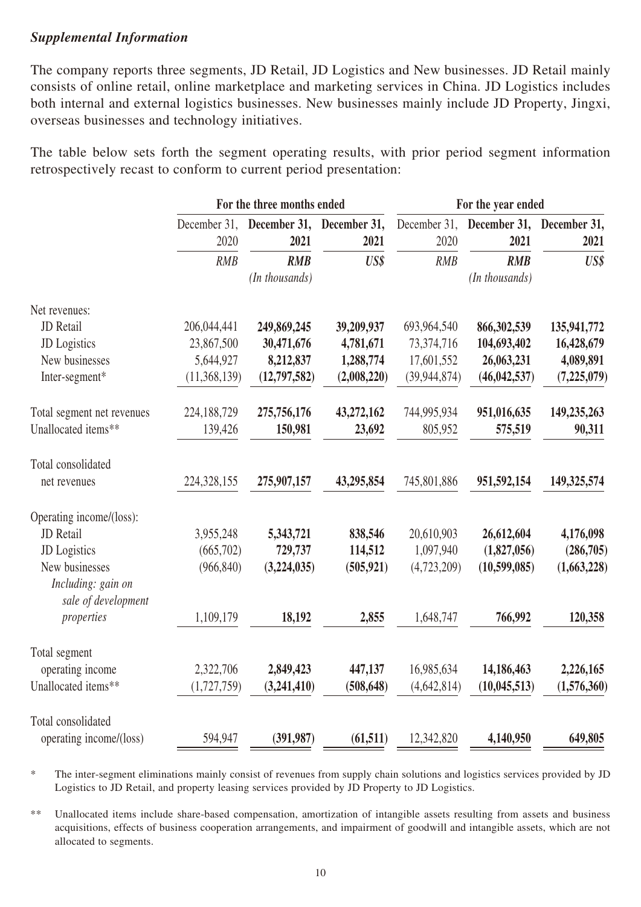### *Supplemental Information*

The company reports three segments, JD Retail, JD Logistics and New businesses. JD Retail mainly consists of online retail, online marketplace and marketing services in China. JD Logistics includes both internal and external logistics businesses. New businesses mainly include JD Property, Jingxi, overseas businesses and technology initiatives.

The table below sets forth the segment operating results, with prior period segment information retrospectively recast to conform to current period presentation:

|                                           |                      | For the three months ended |                      | For the year ended   |                      |                      |
|-------------------------------------------|----------------------|----------------------------|----------------------|----------------------|----------------------|----------------------|
|                                           | December 31,<br>2020 | December 31,<br>2021       | December 31,<br>2021 | December 31,<br>2020 | December 31,<br>2021 | December 31,<br>2021 |
|                                           | <b>RMB</b>           | RMB                        | US\$                 | <b>RMB</b>           | <b>RMB</b>           | US\$                 |
|                                           |                      | (In thousands)             |                      |                      | (In thousands)       |                      |
| Net revenues:                             |                      |                            |                      |                      |                      |                      |
| <b>JD</b> Retail                          | 206,044,441          | 249,869,245                | 39,209,937           | 693,964,540          | 866,302,539          | 135,941,772          |
| <b>JD</b> Logistics                       | 23,867,500           | 30,471,676                 | 4,781,671            | 73,374,716           | 104,693,402          | 16,428,679           |
| New businesses                            | 5,644,927            | 8,212,837                  | 1,288,774            | 17,601,552           | 26,063,231           | 4,089,891            |
| Inter-segment*                            | (11,368,139)         | (12,797,582)               | (2,008,220)          | (39, 944, 874)       | (46, 042, 537)       | (7,225,079)          |
| Total segment net revenues                | 224,188,729          | 275,756,176                | 43,272,162           | 744,995,934          | 951,016,635          | 149,235,263          |
| Unallocated items**                       | 139,426              | 150,981                    | 23,692               | 805,952              | 575,519              | 90,311               |
| Total consolidated                        |                      |                            |                      |                      |                      |                      |
| net revenues                              | 224,328,155          | 275,907,157                | 43,295,854           | 745,801,886          | 951,592,154          | 149, 325, 574        |
| Operating income/(loss):                  |                      |                            |                      |                      |                      |                      |
| <b>JD</b> Retail                          | 3,955,248            | 5,343,721                  | 838,546              | 20,610,903           | 26,612,604           | 4,176,098            |
| <b>JD</b> Logistics                       | (665, 702)           | 729,737                    | 114,512              | 1,097,940            | (1,827,056)          | (286,705)            |
| New businesses                            | (966, 840)           | (3,224,035)                | (505, 921)           | (4,723,209)          | (10,599,085)         | (1,663,228)          |
| Including: gain on<br>sale of development |                      |                            |                      |                      |                      |                      |
| properties                                | 1,109,179            | 18,192                     | 2,855                | 1,648,747            | 766,992              | 120,358              |
| Total segment                             |                      |                            |                      |                      |                      |                      |
| operating income                          | 2,322,706            | 2,849,423                  | 447,137              | 16,985,634           | 14,186,463           | 2,226,165            |
| Unallocated items**                       | (1,727,759)          | (3,241,410)                | (508, 648)           | (4, 642, 814)        | (10, 045, 513)       | (1,576,360)          |
| Total consolidated                        |                      |                            |                      |                      |                      |                      |
| operating income/(loss)                   | 594,947              | (391, 987)                 | (61, 511)            | 12,342,820           | 4,140,950            | 649,805              |

\* The inter-segment eliminations mainly consist of revenues from supply chain solutions and logistics services provided by JD Logistics to JD Retail, and property leasing services provided by JD Property to JD Logistics.

\*\* Unallocated items include share-based compensation, amortization of intangible assets resulting from assets and business acquisitions, effects of business cooperation arrangements, and impairment of goodwill and intangible assets, which are not allocated to segments.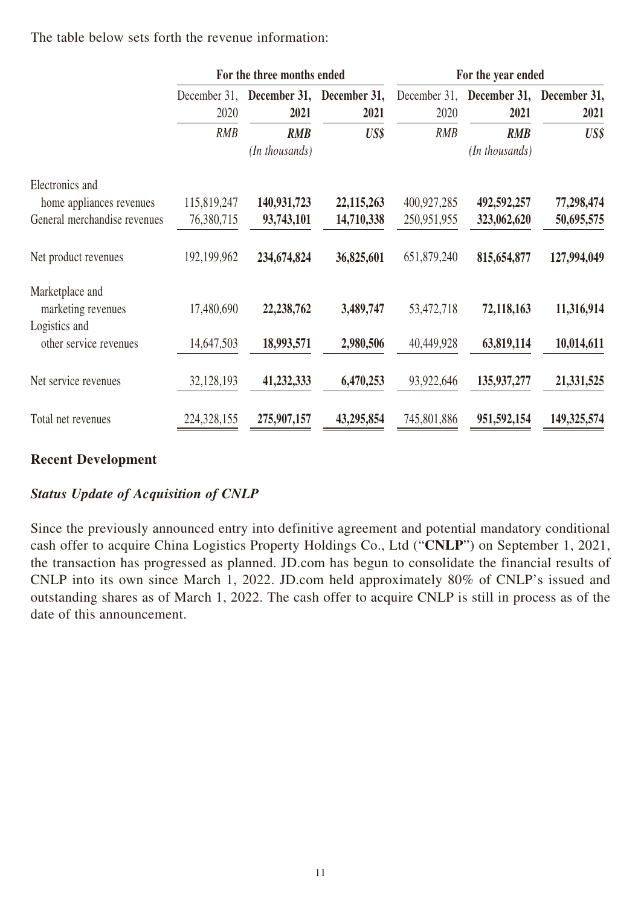The table below sets forth the revenue information:

|                              |                      | For the three months ended   |                                   | For the year ended   |                              |                      |
|------------------------------|----------------------|------------------------------|-----------------------------------|----------------------|------------------------------|----------------------|
|                              | December 31,<br>2020 | 2021                         | December 31, December 31,<br>2021 | December 31,<br>2020 | December 31,<br>2021         | December 31,<br>2021 |
|                              | <b>RMB</b>           | <b>RMB</b><br>(In thousands) | US\$                              | <b>RMB</b>           | <b>RMB</b><br>(In thousands) | US\$                 |
| Electronics and              |                      |                              |                                   |                      |                              |                      |
| home appliances revenues     | 115,819,247          | 140,931,723                  | 22, 115, 263                      | 400,927,285          | 492,592,257                  | 77,298,474           |
| General merchandise revenues | 76,380,715           | 93,743,101                   | 14,710,338                        | 250,951,955          | 323,062,620                  | 50,695,575           |
| Net product revenues         | 192,199,962          | 234,674,824                  | 36,825,601                        | 651,879,240          | 815, 654, 877                | 127,994,049          |
| Marketplace and              |                      |                              |                                   |                      |                              |                      |
| marketing revenues           | 17,480,690           | 22,238,762                   | 3,489,747                         | 53,472,718           | 72,118,163                   | 11,316,914           |
| Logistics and                |                      |                              |                                   |                      |                              |                      |
| other service revenues       | 14,647,503           | 18,993,571                   | 2,980,506                         | 40,449,928           | 63,819,114                   | 10,014,611           |
| Net service revenues         | 32,128,193           | 41,232,333                   | 6,470,253                         | 93,922,646           | 135,937,277                  | 21,331,525           |
| Total net revenues           | 224,328,155          | 275,907,157                  | 43,295,854                        | 745,801,886          | 951,592,154                  | 149,325,574          |

### **Recent Development**

### *Status Update of Acquisition of CNLP*

Since the previously announced entry into definitive agreement and potential mandatory conditional cash offer to acquire China Logistics Property Holdings Co., Ltd ("**CNLP**") on September 1, 2021, the transaction has progressed as planned. JD.com has begun to consolidate the financial results of CNLP into its own since March 1, 2022. JD.com held approximately 80% of CNLP's issued and outstanding shares as of March 1, 2022. The cash offer to acquire CNLP is still in process as of the date of this announcement.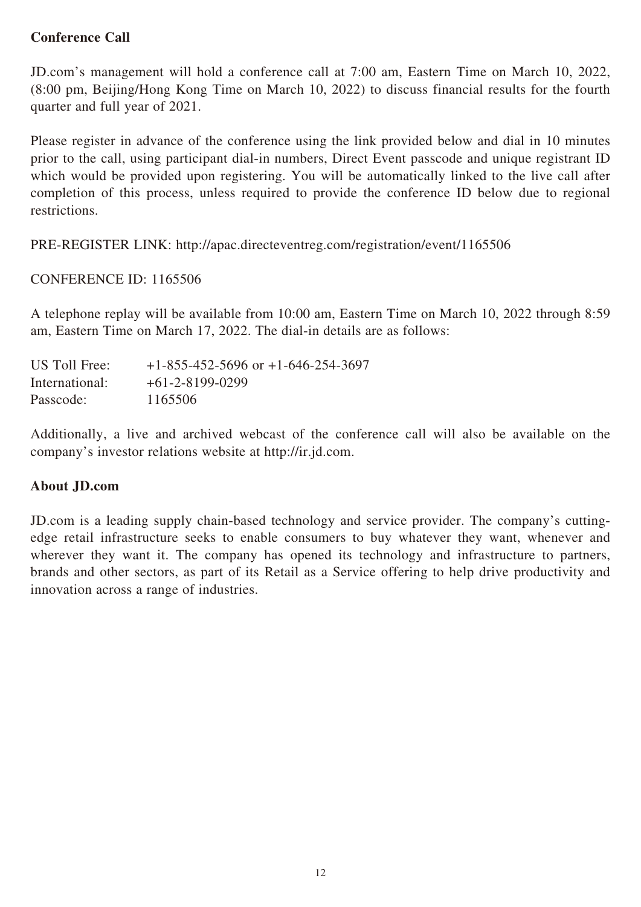### **Conference Call**

JD.com's management will hold a conference call at 7:00 am, Eastern Time on March 10, 2022, (8:00 pm, Beijing/Hong Kong Time on March 10, 2022) to discuss financial results for the fourth quarter and full year of 2021.

Please register in advance of the conference using the link provided below and dial in 10 minutes prior to the call, using participant dial-in numbers, Direct Event passcode and unique registrant ID which would be provided upon registering. You will be automatically linked to the live call after completion of this process, unless required to provide the conference ID below due to regional restrictions.

PRE-REGISTER LINK: http://apac.directeventreg.com/registration/event/1165506

CONFERENCE ID: 1165506

A telephone replay will be available from 10:00 am, Eastern Time on March 10, 2022 through 8:59 am, Eastern Time on March 17, 2022. The dial-in details are as follows:

| US Toll Free:  | $+1-855-452-5696$ or $+1-646-254-3697$ |
|----------------|----------------------------------------|
| International: | $+61-2-8199-0299$                      |
| Passcode:      | 1165506                                |

Additionally, a live and archived webcast of the conference call will also be available on the company's investor relations website at http://ir.jd.com.

### **About JD.com**

JD.com is a leading supply chain-based technology and service provider. The company's cuttingedge retail infrastructure seeks to enable consumers to buy whatever they want, whenever and wherever they want it. The company has opened its technology and infrastructure to partners, brands and other sectors, as part of its Retail as a Service offering to help drive productivity and innovation across a range of industries.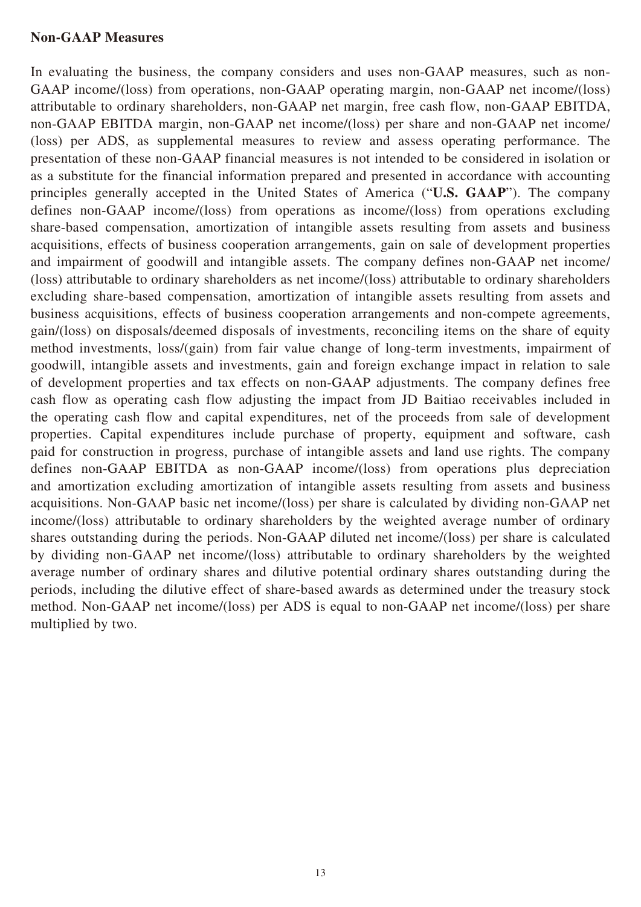#### **Non-GAAP Measures**

In evaluating the business, the company considers and uses non-GAAP measures, such as non-GAAP income/(loss) from operations, non-GAAP operating margin, non-GAAP net income/(loss) attributable to ordinary shareholders, non-GAAP net margin, free cash flow, non-GAAP EBITDA, non-GAAP EBITDA margin, non-GAAP net income/(loss) per share and non-GAAP net income/ (loss) per ADS, as supplemental measures to review and assess operating performance. The presentation of these non-GAAP financial measures is not intended to be considered in isolation or as a substitute for the financial information prepared and presented in accordance with accounting principles generally accepted in the United States of America ("**U.S. GAAP**"). The company defines non-GAAP income/(loss) from operations as income/(loss) from operations excluding share-based compensation, amortization of intangible assets resulting from assets and business acquisitions, effects of business cooperation arrangements, gain on sale of development properties and impairment of goodwill and intangible assets. The company defines non-GAAP net income/ (loss) attributable to ordinary shareholders as net income/(loss) attributable to ordinary shareholders excluding share-based compensation, amortization of intangible assets resulting from assets and business acquisitions, effects of business cooperation arrangements and non-compete agreements, gain/(loss) on disposals/deemed disposals of investments, reconciling items on the share of equity method investments, loss/(gain) from fair value change of long-term investments, impairment of goodwill, intangible assets and investments, gain and foreign exchange impact in relation to sale of development properties and tax effects on non-GAAP adjustments. The company defines free cash flow as operating cash flow adjusting the impact from JD Baitiao receivables included in the operating cash flow and capital expenditures, net of the proceeds from sale of development properties. Capital expenditures include purchase of property, equipment and software, cash paid for construction in progress, purchase of intangible assets and land use rights. The company defines non-GAAP EBITDA as non-GAAP income/(loss) from operations plus depreciation and amortization excluding amortization of intangible assets resulting from assets and business acquisitions. Non-GAAP basic net income/(loss) per share is calculated by dividing non-GAAP net income/(loss) attributable to ordinary shareholders by the weighted average number of ordinary shares outstanding during the periods. Non-GAAP diluted net income/(loss) per share is calculated by dividing non-GAAP net income/(loss) attributable to ordinary shareholders by the weighted average number of ordinary shares and dilutive potential ordinary shares outstanding during the periods, including the dilutive effect of share-based awards as determined under the treasury stock method. Non-GAAP net income/(loss) per ADS is equal to non-GAAP net income/(loss) per share multiplied by two.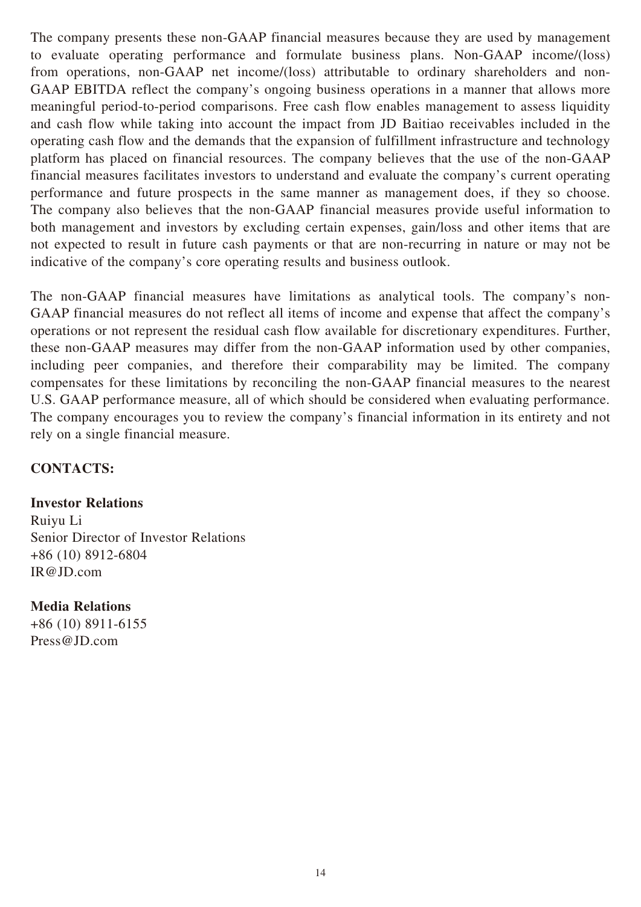The company presents these non-GAAP financial measures because they are used by management to evaluate operating performance and formulate business plans. Non-GAAP income/(loss) from operations, non-GAAP net income/(loss) attributable to ordinary shareholders and non-GAAP EBITDA reflect the company's ongoing business operations in a manner that allows more meaningful period-to-period comparisons. Free cash flow enables management to assess liquidity and cash flow while taking into account the impact from JD Baitiao receivables included in the operating cash flow and the demands that the expansion of fulfillment infrastructure and technology platform has placed on financial resources. The company believes that the use of the non-GAAP financial measures facilitates investors to understand and evaluate the company's current operating performance and future prospects in the same manner as management does, if they so choose. The company also believes that the non-GAAP financial measures provide useful information to both management and investors by excluding certain expenses, gain/loss and other items that are not expected to result in future cash payments or that are non-recurring in nature or may not be indicative of the company's core operating results and business outlook.

The non-GAAP financial measures have limitations as analytical tools. The company's non-GAAP financial measures do not reflect all items of income and expense that affect the company's operations or not represent the residual cash flow available for discretionary expenditures. Further, these non-GAAP measures may differ from the non-GAAP information used by other companies, including peer companies, and therefore their comparability may be limited. The company compensates for these limitations by reconciling the non-GAAP financial measures to the nearest U.S. GAAP performance measure, all of which should be considered when evaluating performance. The company encourages you to review the company's financial information in its entirety and not rely on a single financial measure.

### **CONTACTS:**

#### **Investor Relations**

Ruiyu Li Senior Director of Investor Relations +86 (10) 8912-6804 IR@JD.com

### **Media Relations**

+86 (10) 8911-6155 Press@JD.com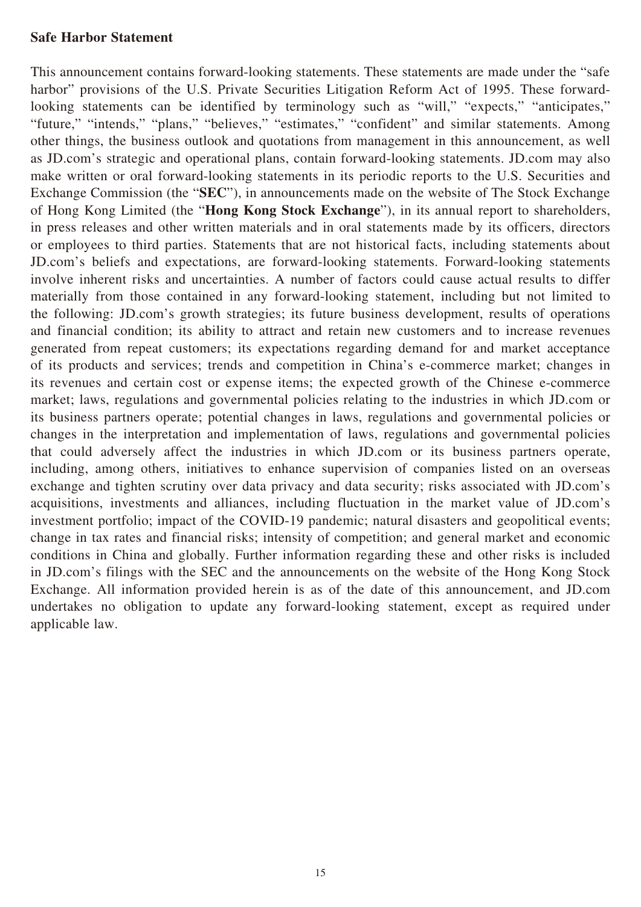#### **Safe Harbor Statement**

This announcement contains forward-looking statements. These statements are made under the "safe harbor" provisions of the U.S. Private Securities Litigation Reform Act of 1995. These forwardlooking statements can be identified by terminology such as "will," "expects," "anticipates," "future," "intends," "plans," "believes," "estimates," "confident" and similar statements. Among other things, the business outlook and quotations from management in this announcement, as well as JD.com's strategic and operational plans, contain forward-looking statements. JD.com may also make written or oral forward-looking statements in its periodic reports to the U.S. Securities and Exchange Commission (the "**SEC**"), in announcements made on the website of The Stock Exchange of Hong Kong Limited (the "**Hong Kong Stock Exchange**"), in its annual report to shareholders, in press releases and other written materials and in oral statements made by its officers, directors or employees to third parties. Statements that are not historical facts, including statements about JD.com's beliefs and expectations, are forward-looking statements. Forward-looking statements involve inherent risks and uncertainties. A number of factors could cause actual results to differ materially from those contained in any forward-looking statement, including but not limited to the following: JD.com's growth strategies; its future business development, results of operations and financial condition; its ability to attract and retain new customers and to increase revenues generated from repeat customers; its expectations regarding demand for and market acceptance of its products and services; trends and competition in China's e-commerce market; changes in its revenues and certain cost or expense items; the expected growth of the Chinese e-commerce market; laws, regulations and governmental policies relating to the industries in which JD.com or its business partners operate; potential changes in laws, regulations and governmental policies or changes in the interpretation and implementation of laws, regulations and governmental policies that could adversely affect the industries in which JD.com or its business partners operate, including, among others, initiatives to enhance supervision of companies listed on an overseas exchange and tighten scrutiny over data privacy and data security; risks associated with JD.com's acquisitions, investments and alliances, including fluctuation in the market value of JD.com's investment portfolio; impact of the COVID-19 pandemic; natural disasters and geopolitical events; change in tax rates and financial risks; intensity of competition; and general market and economic conditions in China and globally. Further information regarding these and other risks is included in JD.com's filings with the SEC and the announcements on the website of the Hong Kong Stock Exchange. All information provided herein is as of the date of this announcement, and JD.com undertakes no obligation to update any forward-looking statement, except as required under applicable law.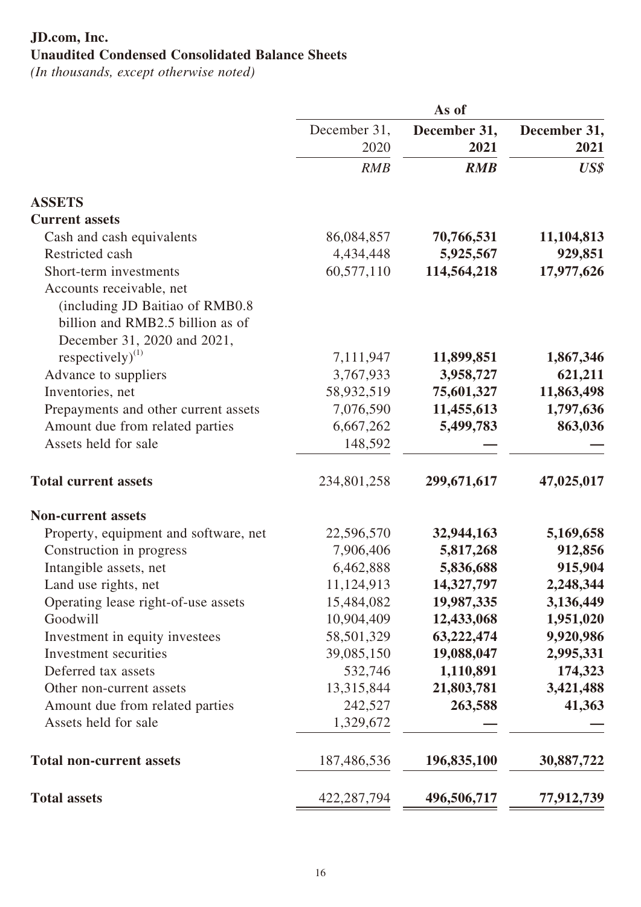# **JD.com, Inc. Unaudited Condensed Consolidated Balance Sheets**

*(In thousands, except otherwise noted)*

|                                       | As of                |                      |                      |  |
|---------------------------------------|----------------------|----------------------|----------------------|--|
|                                       | December 31,<br>2020 | December 31,<br>2021 | December 31,<br>2021 |  |
|                                       | RMB                  | RMB                  | US\$                 |  |
| <b>ASSETS</b>                         |                      |                      |                      |  |
| <b>Current assets</b>                 |                      |                      |                      |  |
| Cash and cash equivalents             | 86,084,857           | 70,766,531           | 11,104,813           |  |
| Restricted cash                       | 4,434,448            | 5,925,567            | 929,851              |  |
| Short-term investments                | 60,577,110           | 114,564,218          | 17,977,626           |  |
| Accounts receivable, net              |                      |                      |                      |  |
| (including JD Baitiao of RMB0.8)      |                      |                      |                      |  |
| billion and RMB2.5 billion as of      |                      |                      |                      |  |
| December 31, 2020 and 2021,           |                      |                      |                      |  |
| respectively) <sup>(1)</sup>          | 7,111,947            | 11,899,851           | 1,867,346            |  |
| Advance to suppliers                  | 3,767,933            | 3,958,727            | 621,211              |  |
| Inventories, net                      | 58,932,519           | 75,601,327           | 11,863,498           |  |
| Prepayments and other current assets  | 7,076,590            | 11,455,613           | 1,797,636            |  |
| Amount due from related parties       | 6,667,262            | 5,499,783            | 863,036              |  |
| Assets held for sale                  | 148,592              |                      |                      |  |
| <b>Total current assets</b>           | 234,801,258          | 299,671,617          | 47,025,017           |  |
| <b>Non-current assets</b>             |                      |                      |                      |  |
| Property, equipment and software, net | 22,596,570           | 32,944,163           | 5,169,658            |  |
| Construction in progress              | 7,906,406            | 5,817,268            | 912,856              |  |
| Intangible assets, net                | 6,462,888            | 5,836,688            | 915,904              |  |
| Land use rights, net                  | 11,124,913           | 14,327,797           | 2,248,344            |  |
| Operating lease right-of-use assets   | 15,484,082           | 19,987,335           | 3,136,449            |  |
| Goodwill                              | 10,904,409           | 12,433,068           | 1,951,020            |  |
| Investment in equity investees        | 58,501,329           | 63,222,474           | 9,920,986            |  |
| Investment securities                 | 39,085,150           | 19,088,047           | 2,995,331            |  |
| Deferred tax assets                   | 532,746              | 1,110,891            | 174,323              |  |
| Other non-current assets              | 13,315,844           | 21,803,781           | 3,421,488            |  |
| Amount due from related parties       | 242,527              | 263,588              | 41,363               |  |
| Assets held for sale                  | 1,329,672            |                      |                      |  |
| <b>Total non-current assets</b>       | 187,486,536          | 196,835,100          | 30,887,722           |  |
| <b>Total assets</b>                   | 422,287,794          | 496,506,717          | 77,912,739           |  |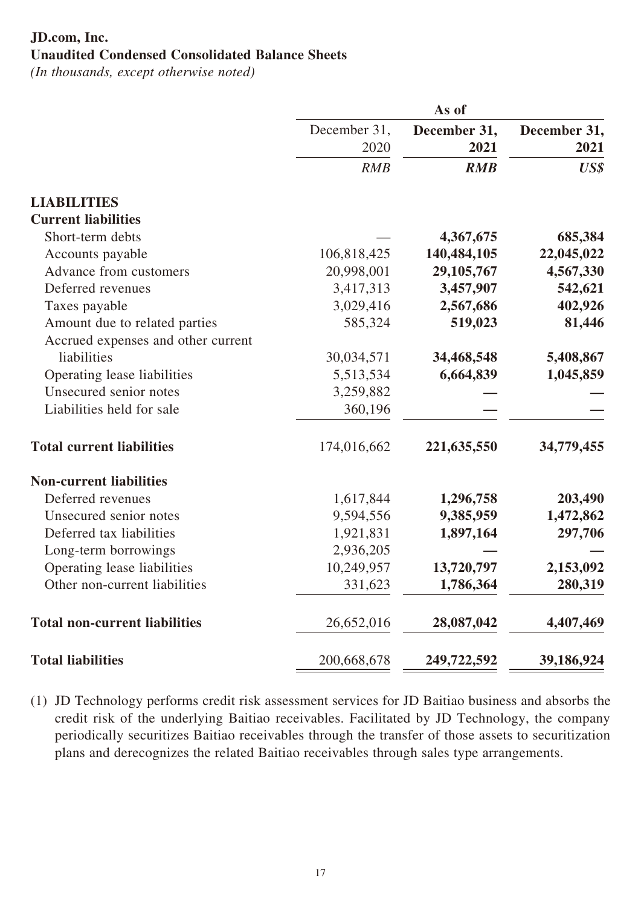### **JD.com, Inc. Unaudited Condensed Consolidated Balance Sheets**

*(In thousands, except otherwise noted)*

|                                      | As of                |                      |                      |  |
|--------------------------------------|----------------------|----------------------|----------------------|--|
|                                      | December 31,<br>2020 | December 31,<br>2021 | December 31,<br>2021 |  |
|                                      |                      | RMB                  |                      |  |
|                                      | RMB                  |                      | US\$                 |  |
| <b>LIABILITIES</b>                   |                      |                      |                      |  |
| <b>Current liabilities</b>           |                      |                      |                      |  |
| Short-term debts                     |                      | 4,367,675            | 685,384              |  |
| Accounts payable                     | 106,818,425          | 140,484,105          | 22,045,022           |  |
| Advance from customers               | 20,998,001           | 29, 105, 767         | 4,567,330            |  |
| Deferred revenues                    | 3,417,313            | 3,457,907            | 542,621              |  |
| Taxes payable                        | 3,029,416            | 2,567,686            | 402,926              |  |
| Amount due to related parties        | 585,324              | 519,023              | 81,446               |  |
| Accrued expenses and other current   |                      |                      |                      |  |
| liabilities                          | 30,034,571           | 34,468,548           | 5,408,867            |  |
| Operating lease liabilities          | 5,513,534            | 6,664,839            | 1,045,859            |  |
| Unsecured senior notes               | 3,259,882            |                      |                      |  |
| Liabilities held for sale            | 360,196              |                      |                      |  |
| <b>Total current liabilities</b>     | 174,016,662          | 221,635,550          | 34,779,455           |  |
| <b>Non-current liabilities</b>       |                      |                      |                      |  |
| Deferred revenues                    | 1,617,844            | 1,296,758            | 203,490              |  |
| Unsecured senior notes               | 9,594,556            | 9,385,959            | 1,472,862            |  |
| Deferred tax liabilities             | 1,921,831            | 1,897,164            | 297,706              |  |
| Long-term borrowings                 | 2,936,205            |                      |                      |  |
| Operating lease liabilities          | 10,249,957           | 13,720,797           | 2,153,092            |  |
| Other non-current liabilities        | 331,623              | 1,786,364            | 280,319              |  |
| <b>Total non-current liabilities</b> | 26,652,016           | 28,087,042           | 4,407,469            |  |
| <b>Total liabilities</b>             | 200,668,678          | 249,722,592          | 39,186,924           |  |

(1) JD Technology performs credit risk assessment services for JD Baitiao business and absorbs the credit risk of the underlying Baitiao receivables. Facilitated by JD Technology, the company periodically securitizes Baitiao receivables through the transfer of those assets to securitization plans and derecognizes the related Baitiao receivables through sales type arrangements.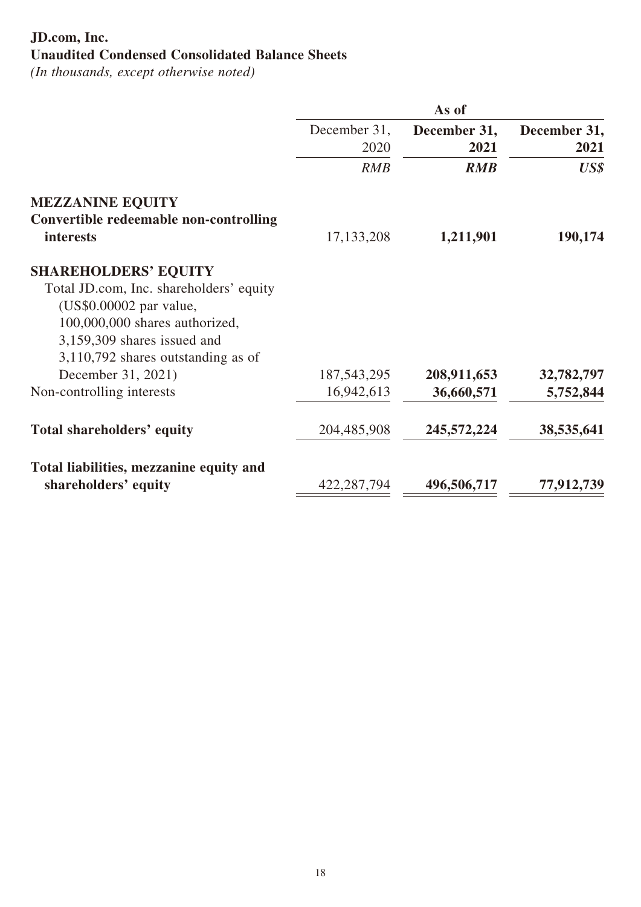### **JD.com, Inc. Unaudited Condensed Consolidated Balance Sheets**

*(In thousands, except otherwise noted)*

|                                               | As of                |                      |                      |  |  |  |
|-----------------------------------------------|----------------------|----------------------|----------------------|--|--|--|
|                                               | December 31,<br>2020 | December 31,<br>2021 | December 31,<br>2021 |  |  |  |
|                                               | RMB                  | <b>RMB</b>           | US\$                 |  |  |  |
| <b>MEZZANINE EQUITY</b>                       |                      |                      |                      |  |  |  |
| <b>Convertible redeemable non-controlling</b> |                      |                      |                      |  |  |  |
| interests                                     | 17, 133, 208         | 1,211,901            | 190,174              |  |  |  |
| <b>SHAREHOLDERS' EQUITY</b>                   |                      |                      |                      |  |  |  |
| Total JD.com, Inc. shareholders' equity       |                      |                      |                      |  |  |  |
| (US\$0.00002 par value,                       |                      |                      |                      |  |  |  |
| 100,000,000 shares authorized,                |                      |                      |                      |  |  |  |
| 3,159,309 shares issued and                   |                      |                      |                      |  |  |  |
| $3,110,792$ shares outstanding as of          |                      |                      |                      |  |  |  |
| December 31, 2021)                            | 187, 543, 295        | 208,911,653          | 32,782,797           |  |  |  |
| Non-controlling interests                     | 16,942,613           | 36,660,571           | 5,752,844            |  |  |  |
| <b>Total shareholders' equity</b>             | 204,485,908          | 245,572,224          | 38,535,641           |  |  |  |
| Total liabilities, mezzanine equity and       |                      |                      |                      |  |  |  |
| shareholders' equity                          | 422, 287, 794        | 496,506,717          | 77,912,739           |  |  |  |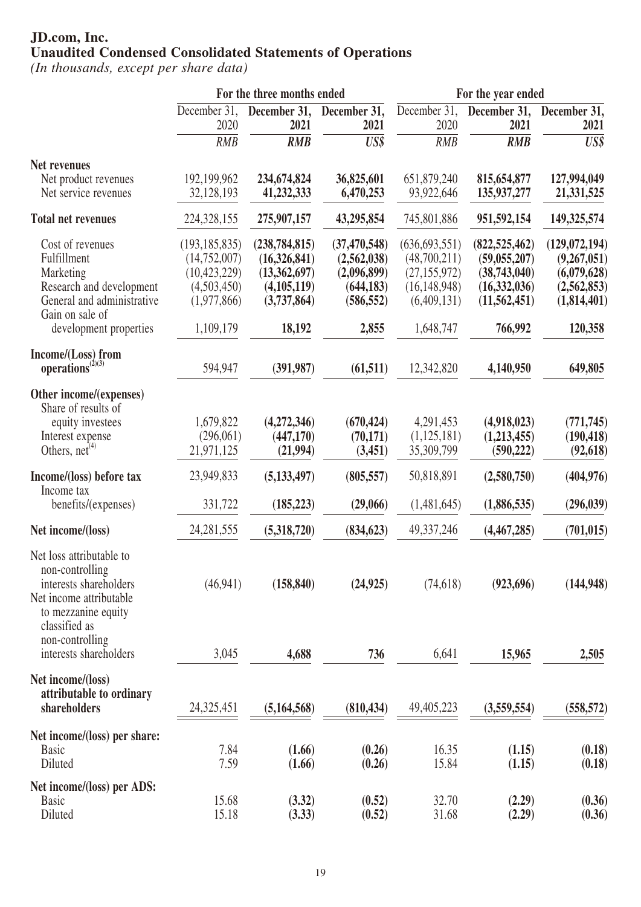### **JD.com, Inc. Unaudited Condensed Consolidated Statements of Operations**

*(In thousands, except per share data)*

|                                           | For the three months ended |                 |                  | For the year ended |                 |                  |
|-------------------------------------------|----------------------------|-----------------|------------------|--------------------|-----------------|------------------|
|                                           | December 31,               | December 31,    | December 31,     | December 31,       | December 31,    | December 31,     |
|                                           | 2020                       | 2021            | 2021             | 2020               | 2021            | 2021             |
|                                           | RMB                        | <b>RMB</b>      | $\overline{USS}$ | <b>RMB</b>         | <b>RMB</b>      | $\overline{USS}$ |
| Net revenues                              |                            |                 |                  |                    |                 |                  |
| Net product revenues                      | 192,199,962                | 234,674,824     | 36,825,601       | 651,879,240        | 815,654,877     | 127,994,049      |
| Net service revenues                      | 32,128,193                 | 41,232,333      | 6,470,253        | 93,922,646         | 135,937,277     | 21, 331, 525     |
| <b>Total net revenues</b>                 | 224,328,155                | 275,907,157     | 43,295,854       | 745,801,886        | 951,592,154     | 149, 325, 574    |
| Cost of revenues                          | (193, 185, 835)            | (238, 784, 815) | (37, 470, 548)   | (636, 693, 551)    | (822, 525, 462) | (129, 072, 194)  |
| Fulfillment                               | (14,752,007)               | (16,326,841)    | (2,562,038)      | (48,700,211)       | (59, 055, 207)  | (9,267,051)      |
| Marketing                                 | (10, 423, 229)             | (13, 362, 697)  | (2,096,899)      | (27, 155, 972)     | (38,743,040)    | (6,079,628)      |
| Research and development                  | (4,503,450)                | (4,105,119)     | (644, 183)       | (16, 148, 948)     | (16, 332, 036)  | (2,562,853)      |
| General and administrative                | (1,977,866)                | (3,737,864)     | (586, 552)       | (6,409,131)        | (11, 562, 451)  | (1,814,401)      |
| Gain on sale of<br>development properties | 1,109,179                  | 18,192          | 2,855            | 1,648,747          | 766,992         | 120,358          |
| Income/(Loss) from                        |                            |                 |                  |                    |                 |                  |
| operations <sup><math>(2)(3)</math></sup> | 594,947                    | (391, 987)      | (61,511)         | 12,342,820         | 4,140,950       | 649,805          |
| Other income/(expenses)                   |                            |                 |                  |                    |                 |                  |
| Share of results of                       |                            |                 |                  |                    |                 |                  |
| equity investees                          | 1,679,822                  | (4,272,346)     | (670, 424)       | 4,291,453          | (4,918,023)     | (771, 745)       |
| Interest expense                          | (296,061)                  | (447,170)       | (70, 171)        | (1,125,181)        | (1,213,455)     | (190, 418)       |
| Others, $net^{(4)}$                       | 21,971,125                 | (21,994)        | (3,451)          | 35,309,799         | (590, 222)      | (92, 618)        |
| Income/(loss) before tax                  | 23,949,833                 | (5, 133, 497)   | (805, 557)       | 50,818,891         | (2,580,750)     | (404, 976)       |
| Income tax<br>benefits/(expenses)         | 331,722                    | (185, 223)      | (29,066)         | (1,481,645)        | (1,886,535)     | (296, 039)       |
| Net income/(loss)                         | 24, 281, 555               | (5,318,720)     | (834, 623)       | 49, 337, 246       | (4, 467, 285)   | (701, 015)       |
| Net loss attributable to                  |                            |                 |                  |                    |                 |                  |
| non-controlling                           |                            |                 |                  |                    |                 |                  |
| interests shareholders                    | (46, 941)                  | (158, 840)      | (24, 925)        | (74, 618)          | (923, 696)      | (144, 948)       |
| Net income attributable                   |                            |                 |                  |                    |                 |                  |
| to mezzanine equity                       |                            |                 |                  |                    |                 |                  |
| classified as                             |                            |                 |                  |                    |                 |                  |
| non-controlling                           |                            |                 |                  |                    |                 |                  |
| interests shareholders                    | 3,045                      | 4,688           | 736              | 6,641              | 15,965          | 2,505            |
| Net income/(loss)                         |                            |                 |                  |                    |                 |                  |
| attributable to ordinary                  |                            |                 |                  |                    |                 |                  |
| shareholders                              | 24,325,451                 | (5,164,568)     | (810, 434)       | 49,405,223         | (3,559,554)     | (558, 572)       |
| Net income/(loss) per share:              |                            |                 |                  |                    |                 |                  |
| <b>Basic</b>                              | 7.84                       | (1.66)          | (0.26)           | 16.35              | (1.15)          | (0.18)           |
| Diluted                                   | 7.59                       | (1.66)          | (0.26)           | 15.84              | (1.15)          | (0.18)           |
| Net income/(loss) per ADS:                |                            |                 |                  |                    |                 |                  |
| <b>Basic</b>                              | 15.68                      | (3.32)          | (0.52)           | 32.70              | (2.29)          | (0.36)           |
| Diluted                                   | 15.18                      | (3.33)          | (0.52)           | 31.68              | (2.29)          | (0.36)           |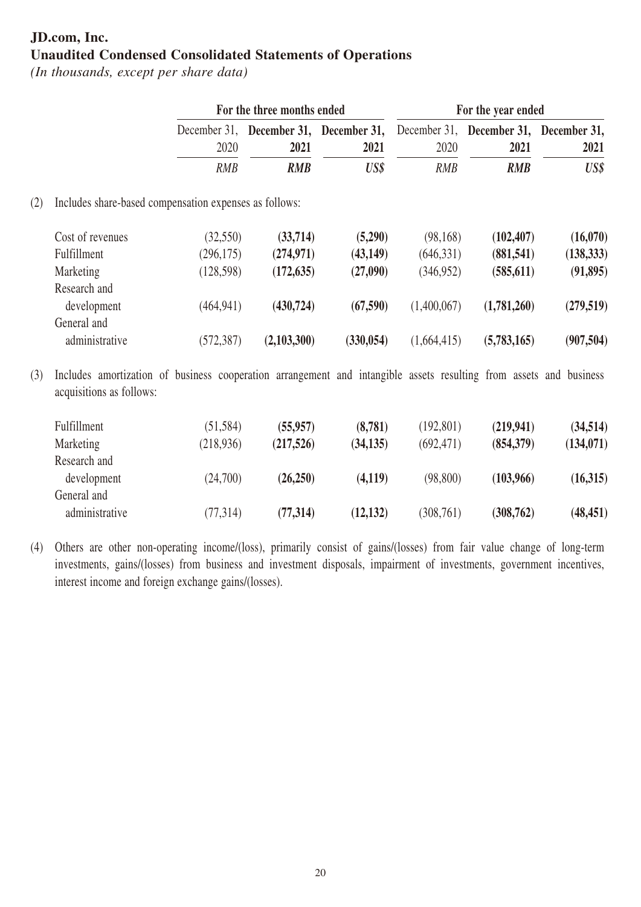# **JD.com, Inc. Unaudited Condensed Consolidated Statements of Operations**

*(In thousands, except per share data)*

|     |                                                                                                                                                | For the three months ended |                                        |            |             | For the year ended |                                        |
|-----|------------------------------------------------------------------------------------------------------------------------------------------------|----------------------------|----------------------------------------|------------|-------------|--------------------|----------------------------------------|
|     |                                                                                                                                                |                            | December 31, December 31, December 31, |            |             |                    | December 31, December 31, December 31, |
|     |                                                                                                                                                | 2020                       | 2021                                   | 2021       | 2020        | 2021               | 2021                                   |
|     |                                                                                                                                                | RMB                        | <b>RMB</b>                             | US\$       | <b>RMB</b>  | <b>RMB</b>         | US\$                                   |
| (2) | Includes share-based compensation expenses as follows:                                                                                         |                            |                                        |            |             |                    |                                        |
|     | Cost of revenues                                                                                                                               | (32,550)                   | (33,714)                               | (5,290)    | (98, 168)   | (102, 407)         | (16,070)                               |
|     | Fulfillment                                                                                                                                    | (296, 175)                 | (274, 971)                             | (43, 149)  | (646,331)   | (881, 541)         | (138, 333)                             |
|     | Marketing                                                                                                                                      | (128,598)                  | (172, 635)                             | (27,090)   | (346, 952)  | (585, 611)         | (91, 895)                              |
|     | Research and                                                                                                                                   |                            |                                        |            |             |                    |                                        |
|     | development                                                                                                                                    | (464, 941)                 | (430, 724)                             | (67,590)   | (1,400,067) | (1,781,260)        | (279, 519)                             |
|     | General and                                                                                                                                    |                            |                                        |            |             |                    |                                        |
|     | administrative                                                                                                                                 | (572, 387)                 | (2,103,300)                            | (330, 054) | (1,664,415) | (5,783,165)        | (907, 504)                             |
| (3) | Includes amortization of business cooperation arrangement and intangible assets resulting from assets and business<br>acquisitions as follows: |                            |                                        |            |             |                    |                                        |
|     | Fulfillment                                                                                                                                    | (51, 584)                  | (55, 957)                              | (8,781)    | (192, 801)  | (219,941)          | (34,514)                               |
|     | Marketing                                                                                                                                      | (218,936)                  | (217,526)                              | (34, 135)  | (692, 471)  | (854,379)          | (134,071)                              |
|     | Research and                                                                                                                                   |                            |                                        |            |             |                    |                                        |
|     | development                                                                                                                                    | (24,700)                   | (26,250)                               | (4,119)    | (98, 800)   | (103,966)          | (16,315)                               |
|     | General and                                                                                                                                    |                            |                                        |            |             |                    |                                        |
|     | administrative                                                                                                                                 | (77, 314)                  | (77, 314)                              | (12, 132)  | (308,761)   | (308, 762)         | (48, 451)                              |

(4) Others are other non-operating income/(loss), primarily consist of gains/(losses) from fair value change of long-term investments, gains/(losses) from business and investment disposals, impairment of investments, government incentives, interest income and foreign exchange gains/(losses).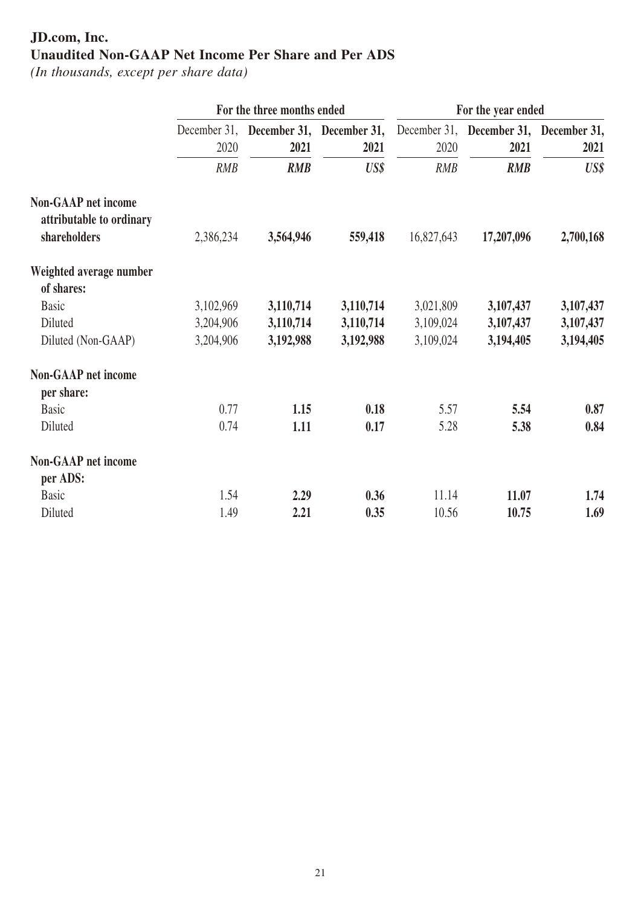# **JD.com, Inc. Unaudited Non-GAAP Net Income Per Share and Per ADS**

*(In thousands, except per share data)*

|                                                                        | For the three months ended |                                                |           |            | For the year ended                             |           |
|------------------------------------------------------------------------|----------------------------|------------------------------------------------|-----------|------------|------------------------------------------------|-----------|
|                                                                        | 2020                       | December 31, December 31, December 31,<br>2021 | 2021      | 2020       | December 31, December 31, December 31,<br>2021 | 2021      |
|                                                                        | <b>RMB</b>                 | <b>RMB</b>                                     | US\$      | <b>RMB</b> | <b>RMB</b>                                     | US\$      |
| <b>Non-GAAP</b> net income<br>attributable to ordinary<br>shareholders | 2,386,234                  | 3,564,946                                      | 559,418   | 16,827,643 | 17,207,096                                     | 2,700,168 |
| Weighted average number                                                |                            |                                                |           |            |                                                |           |
| of shares:                                                             |                            |                                                |           |            |                                                |           |
| <b>Basic</b>                                                           | 3,102,969                  | 3,110,714                                      | 3,110,714 | 3,021,809  | 3,107,437                                      | 3,107,437 |
| Diluted                                                                | 3,204,906                  | 3,110,714                                      | 3,110,714 | 3,109,024  | 3,107,437                                      | 3,107,437 |
| Diluted (Non-GAAP)                                                     | 3,204,906                  | 3,192,988                                      | 3,192,988 | 3,109,024  | 3,194,405                                      | 3,194,405 |
| <b>Non-GAAP</b> net income                                             |                            |                                                |           |            |                                                |           |
| per share:                                                             |                            |                                                |           |            |                                                |           |
| <b>Basic</b>                                                           | 0.77                       | 1.15                                           | 0.18      | 5.57       | 5.54                                           | 0.87      |
| Diluted                                                                | 0.74                       | 1.11                                           | 0.17      | 5.28       | 5.38                                           | 0.84      |
| <b>Non-GAAP</b> net income                                             |                            |                                                |           |            |                                                |           |
| per ADS:                                                               |                            |                                                |           |            |                                                |           |
| <b>Basic</b>                                                           | 1.54                       | 2.29                                           | 0.36      | 11.14      | 11.07                                          | 1.74      |
| Diluted                                                                | 1.49                       | 2.21                                           | 0.35      | 10.56      | 10.75                                          | 1.69      |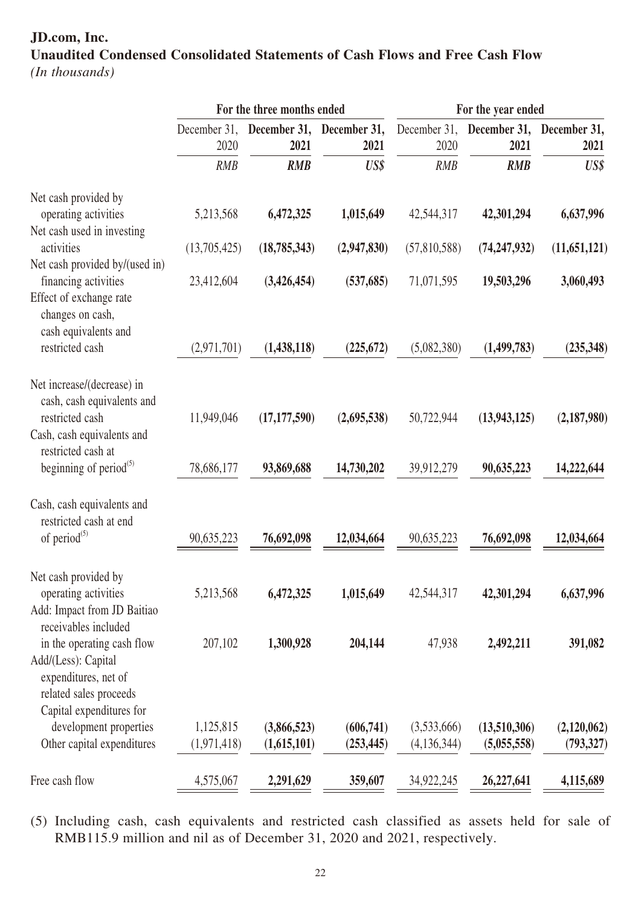### **JD.com, Inc. Unaudited Condensed Consolidated Statements of Cash Flows and Free Cash Flow** *(In thousands)*

|                                                                                                                                 |                      | For the three months ended |                                   | For the year ended   |                                   |                |
|---------------------------------------------------------------------------------------------------------------------------------|----------------------|----------------------------|-----------------------------------|----------------------|-----------------------------------|----------------|
|                                                                                                                                 | December 31,<br>2020 | 2021                       | December 31, December 31,<br>2021 | December 31,<br>2020 | December 31, December 31,<br>2021 | 2021           |
|                                                                                                                                 | <b>RMB</b>           | <b>RMB</b>                 | US\$                              | <b>RMB</b>           | <b>RMB</b>                        | US\$           |
| Net cash provided by<br>operating activities<br>Net cash used in investing                                                      | 5,213,568            | 6,472,325                  | 1,015,649                         | 42,544,317           | 42,301,294                        | 6,637,996      |
| activities                                                                                                                      | (13,705,425)         | (18, 785, 343)             | (2,947,830)                       | (57,810,588)         | (74, 247, 932)                    | (11, 651, 121) |
| Net cash provided by/(used in)<br>financing activities<br>Effect of exchange rate<br>changes on cash,                           | 23,412,604           | (3,426,454)                | (537, 685)                        | 71,071,595           | 19,503,296                        | 3,060,493      |
| cash equivalents and<br>restricted cash                                                                                         | (2,971,701)          | (1,438,118)                | (225, 672)                        | (5,082,380)          | (1, 499, 783)                     | (235, 348)     |
| Net increase/(decrease) in<br>cash, cash equivalents and<br>restricted cash<br>Cash, cash equivalents and<br>restricted cash at | 11,949,046           | (17, 177, 590)             | (2,695,538)                       | 50,722,944           | (13, 943, 125)                    | (2,187,980)    |
| beginning of period $(5)$                                                                                                       | 78,686,177           | 93,869,688                 | 14,730,202                        | 39,912,279           | 90,635,223                        | 14,222,644     |
| Cash, cash equivalents and<br>restricted cash at end<br>of period <sup>(5)</sup>                                                | 90,635,223           | 76,692,098                 | 12,034,664                        | 90,635,223           | 76,692,098                        | 12,034,664     |
| Net cash provided by<br>operating activities<br>Add: Impact from JD Baitiao<br>receivables included                             | 5,213,568            | 6,472,325                  | 1,015,649                         | 42,544,317           | 42,301,294                        | 6,637,996      |
| in the operating cash flow<br>Add/(Less): Capital<br>expenditures, net of<br>related sales proceeds<br>Capital expenditures for | 207,102              | 1,300,928                  | 204,144                           | 47,938               | 2,492,211                         | 391,082        |
| development properties                                                                                                          | 1,125,815            | (3,866,523)                | (606,741)                         | (3,533,666)          | (13,510,306)                      | (2,120,062)    |
| Other capital expenditures                                                                                                      | (1,971,418)          | (1,615,101)                | (253, 445)                        | (4, 136, 344)        | (5,055,558)                       | (793, 327)     |
| Free cash flow                                                                                                                  | 4,575,067            | 2,291,629                  | 359,607                           | 34,922,245           | 26,227,641                        | 4,115,689      |

(5) Including cash, cash equivalents and restricted cash classified as assets held for sale of RMB115.9 million and nil as of December 31, 2020 and 2021, respectively.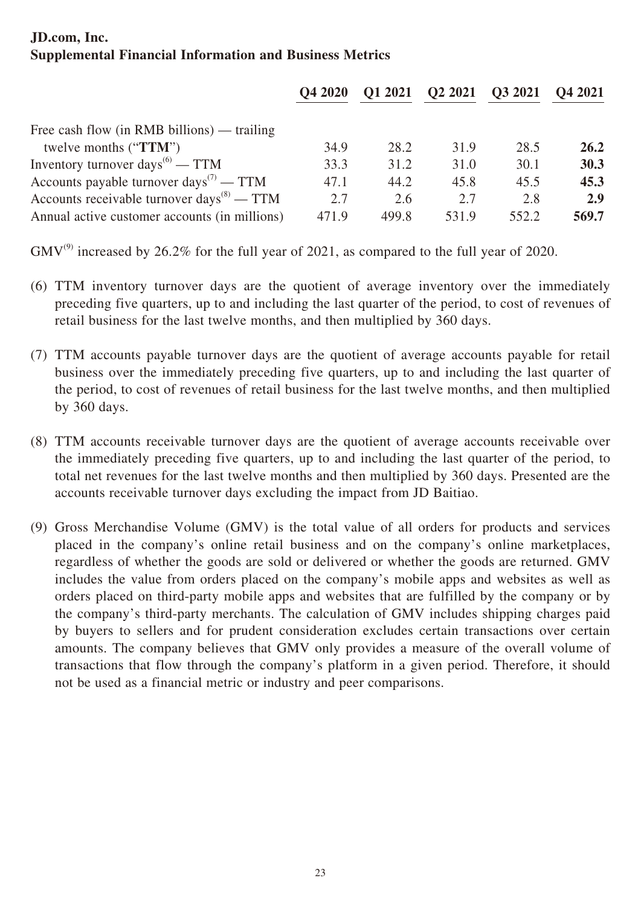### **JD.com, Inc. Supplemental Financial Information and Business Metrics**

|                                                                  | <b>O4 2020</b> |       | Q1 2021 Q2 2021 | Q3 2021 | O <sub>4</sub> 2021 |
|------------------------------------------------------------------|----------------|-------|-----------------|---------|---------------------|
| Free cash flow (in RMB billions) — trailing                      |                |       |                 |         |                     |
| twelve months $("TTM")$                                          | 34.9           | 28.2  | 31.9            | 28.5    | 26.2                |
| Inventory turnover $\text{days}^{(6)}$ — TTM                     | 33.3           | 31.2  | 31.0            | 30.1    | 30.3                |
| Accounts payable turnover days <sup><math>(7)</math></sup> — TTM | 47.1           | 44.2  | 45.8            | 45.5    | 45.3                |
| Accounts receivable turnover $\text{days}^{(8)}$ — TTM           | 2.7            | 2.6   | 2.7             | 2.8     | 2.9                 |
| Annual active customer accounts (in millions)                    | 471.9          | 499.8 | 531.9           | 552.2   | 569.7               |

 $GMV^{(9)}$  increased by 26.2% for the full year of 2021, as compared to the full year of 2020.

- (6) TTM inventory turnover days are the quotient of average inventory over the immediately preceding five quarters, up to and including the last quarter of the period, to cost of revenues of retail business for the last twelve months, and then multiplied by 360 days.
- (7) TTM accounts payable turnover days are the quotient of average accounts payable for retail business over the immediately preceding five quarters, up to and including the last quarter of the period, to cost of revenues of retail business for the last twelve months, and then multiplied by 360 days.
- (8) TTM accounts receivable turnover days are the quotient of average accounts receivable over the immediately preceding five quarters, up to and including the last quarter of the period, to total net revenues for the last twelve months and then multiplied by 360 days. Presented are the accounts receivable turnover days excluding the impact from JD Baitiao.
- (9) Gross Merchandise Volume (GMV) is the total value of all orders for products and services placed in the company's online retail business and on the company's online marketplaces, regardless of whether the goods are sold or delivered or whether the goods are returned. GMV includes the value from orders placed on the company's mobile apps and websites as well as orders placed on third-party mobile apps and websites that are fulfilled by the company or by the company's third-party merchants. The calculation of GMV includes shipping charges paid by buyers to sellers and for prudent consideration excludes certain transactions over certain amounts. The company believes that GMV only provides a measure of the overall volume of transactions that flow through the company's platform in a given period. Therefore, it should not be used as a financial metric or industry and peer comparisons.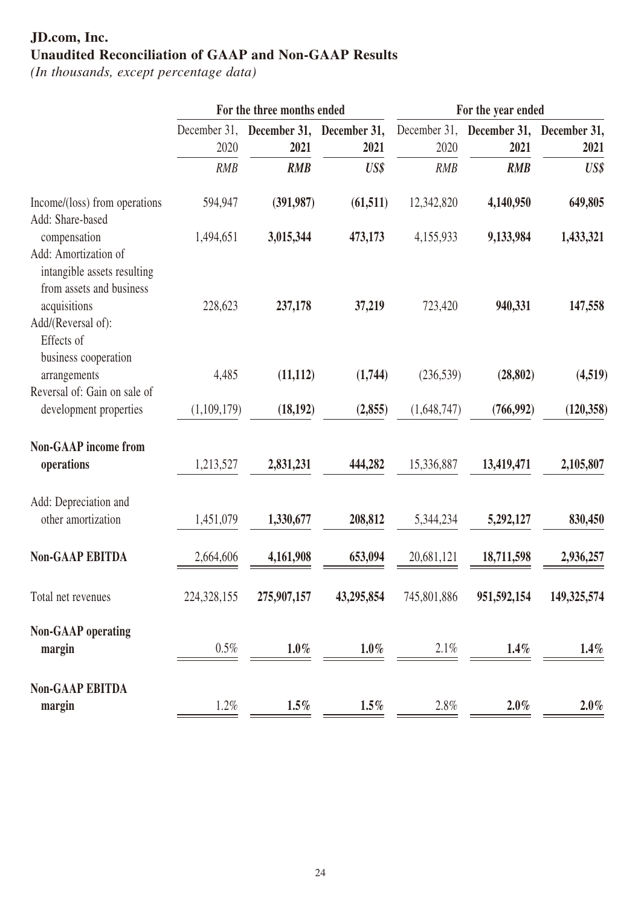# **JD.com, Inc. Unaudited Reconciliation of GAAP and Non-GAAP Results**

*(In thousands, except percentage data)*

|                                                                                                 | For the three months ended |                                   |            | For the year ended   |                      |                      |  |
|-------------------------------------------------------------------------------------------------|----------------------------|-----------------------------------|------------|----------------------|----------------------|----------------------|--|
|                                                                                                 | December 31,<br>2020       | December 31, December 31,<br>2021 | 2021       | December 31,<br>2020 | December 31,<br>2021 | December 31,<br>2021 |  |
|                                                                                                 | <b>RMB</b>                 | <b>RMB</b>                        | US\$       | <b>RMB</b>           | <b>RMB</b>           | US\$                 |  |
| Income/(loss) from operations<br>Add: Share-based                                               | 594,947                    | (391, 987)                        | (61,511)   | 12,342,820           | 4,140,950            | 649,805              |  |
| compensation<br>Add: Amortization of<br>intangible assets resulting<br>from assets and business | 1,494,651                  | 3,015,344                         | 473,173    | 4,155,933            | 9,133,984            | 1,433,321            |  |
| acquisitions<br>Add/(Reversal of):<br>Effects of<br>business cooperation                        | 228,623                    | 237,178                           | 37,219     | 723,420              | 940,331              | 147,558              |  |
| arrangements                                                                                    | 4,485                      | (11, 112)                         | (1,744)    | (236, 539)           | (28, 802)            | (4,519)              |  |
| Reversal of: Gain on sale of<br>development properties                                          | (1,109,179)                | (18, 192)                         | (2, 855)   | (1,648,747)          | (766, 992)           | (120, 358)           |  |
| <b>Non-GAAP</b> income from<br>operations                                                       | 1,213,527                  | 2,831,231                         | 444,282    | 15,336,887           | 13,419,471           | 2,105,807            |  |
| Add: Depreciation and<br>other amortization                                                     | 1,451,079                  | 1,330,677                         | 208,812    | 5,344,234            | 5,292,127            | 830,450              |  |
| <b>Non-GAAP EBITDA</b>                                                                          | 2,664,606                  | 4,161,908                         | 653,094    | 20,681,121           | 18,711,598           | 2,936,257            |  |
| Total net revenues                                                                              | 224,328,155                | 275,907,157                       | 43,295,854 | 745,801,886          | 951,592,154          | 149, 325, 574        |  |
| <b>Non-GAAP</b> operating<br>margin                                                             | $0.5\%$                    | $1.0\%$                           | $1.0\%$    | 2.1%                 | $1.4\%$              | $1.4\%$              |  |
| <b>Non-GAAP EBITDA</b><br>margin                                                                | 1.2%                       | $1.5\%$                           | $1.5\%$    | $2.8\%$              | $2.0\%$              | $2.0\%$              |  |